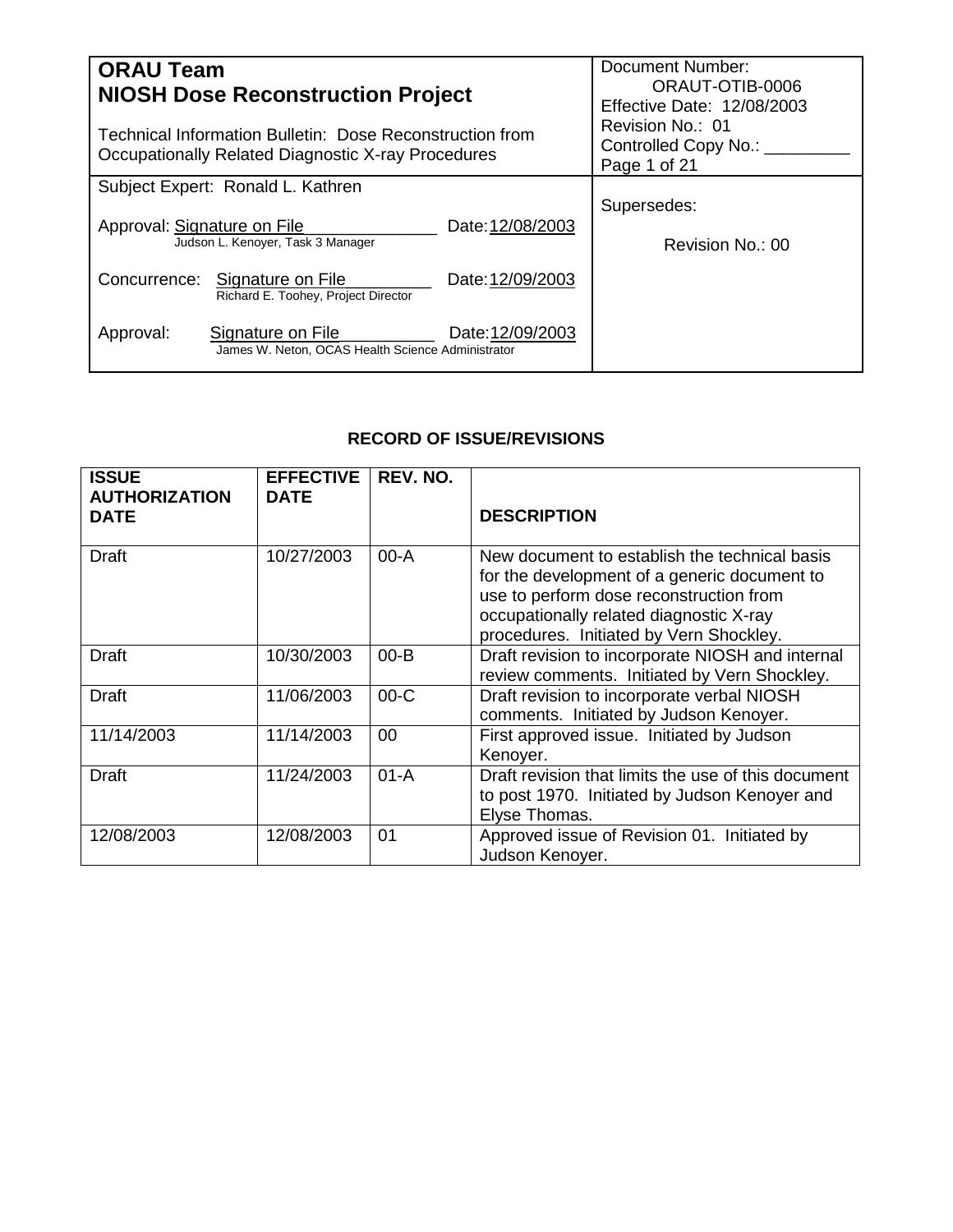| <b>ORAU Team</b>                                                                                               | <b>NIOSH Dose Reconstruction Project</b>                               | Document Number:<br>ORAUT-OTIB-0006<br>Effective Date: 12/08/2003 |                                                          |
|----------------------------------------------------------------------------------------------------------------|------------------------------------------------------------------------|-------------------------------------------------------------------|----------------------------------------------------------|
| Technical Information Bulletin: Dose Reconstruction from<br>Occupationally Related Diagnostic X-ray Procedures |                                                                        |                                                                   | Revision No.: 01<br>Controlled Copy No.:<br>Page 1 of 21 |
|                                                                                                                | Subject Expert: Ronald L. Kathren                                      |                                                                   |                                                          |
| Approval: Signature on File                                                                                    | Judson L. Kenover, Task 3 Manager                                      | Date: 12/08/2003                                                  | Supersedes:<br>Revision No.: 00                          |
|                                                                                                                | Concurrence: Signature on File<br>Richard E. Toohey, Project Director  | Date: 12/09/2003                                                  |                                                          |
| Approval:                                                                                                      | Signature on File<br>James W. Neton, OCAS Health Science Administrator | Date: 12/09/2003                                                  |                                                          |

# **RECORD OF ISSUE/REVISIONS**

| <b>ISSUE</b><br><b>AUTHORIZATION</b><br><b>DATE</b> | <b>EFFECTIVE</b><br><b>DATE</b> | REV. NO. | <b>DESCRIPTION</b>                                                                                                                                                                                                             |
|-----------------------------------------------------|---------------------------------|----------|--------------------------------------------------------------------------------------------------------------------------------------------------------------------------------------------------------------------------------|
| <b>Draft</b>                                        | 10/27/2003                      | $00 - A$ | New document to establish the technical basis<br>for the development of a generic document to<br>use to perform dose reconstruction from<br>occupationally related diagnostic X-ray<br>procedures. Initiated by Vern Shockley. |
| <b>Draft</b>                                        | 10/30/2003                      | $00 - B$ | Draft revision to incorporate NIOSH and internal<br>review comments. Initiated by Vern Shockley.                                                                                                                               |
| <b>Draft</b>                                        | 11/06/2003                      | $00-C$   | Draft revision to incorporate verbal NIOSH<br>comments. Initiated by Judson Kenoyer.                                                                                                                                           |
| 11/14/2003                                          | 11/14/2003                      | 00       | First approved issue. Initiated by Judson<br>Kenoyer.                                                                                                                                                                          |
| <b>Draft</b>                                        | 11/24/2003                      | $01 - A$ | Draft revision that limits the use of this document<br>to post 1970. Initiated by Judson Kenoyer and<br>Elyse Thomas.                                                                                                          |
| 12/08/2003                                          | 12/08/2003                      | 01       | Approved issue of Revision 01. Initiated by<br>Judson Kenoyer.                                                                                                                                                                 |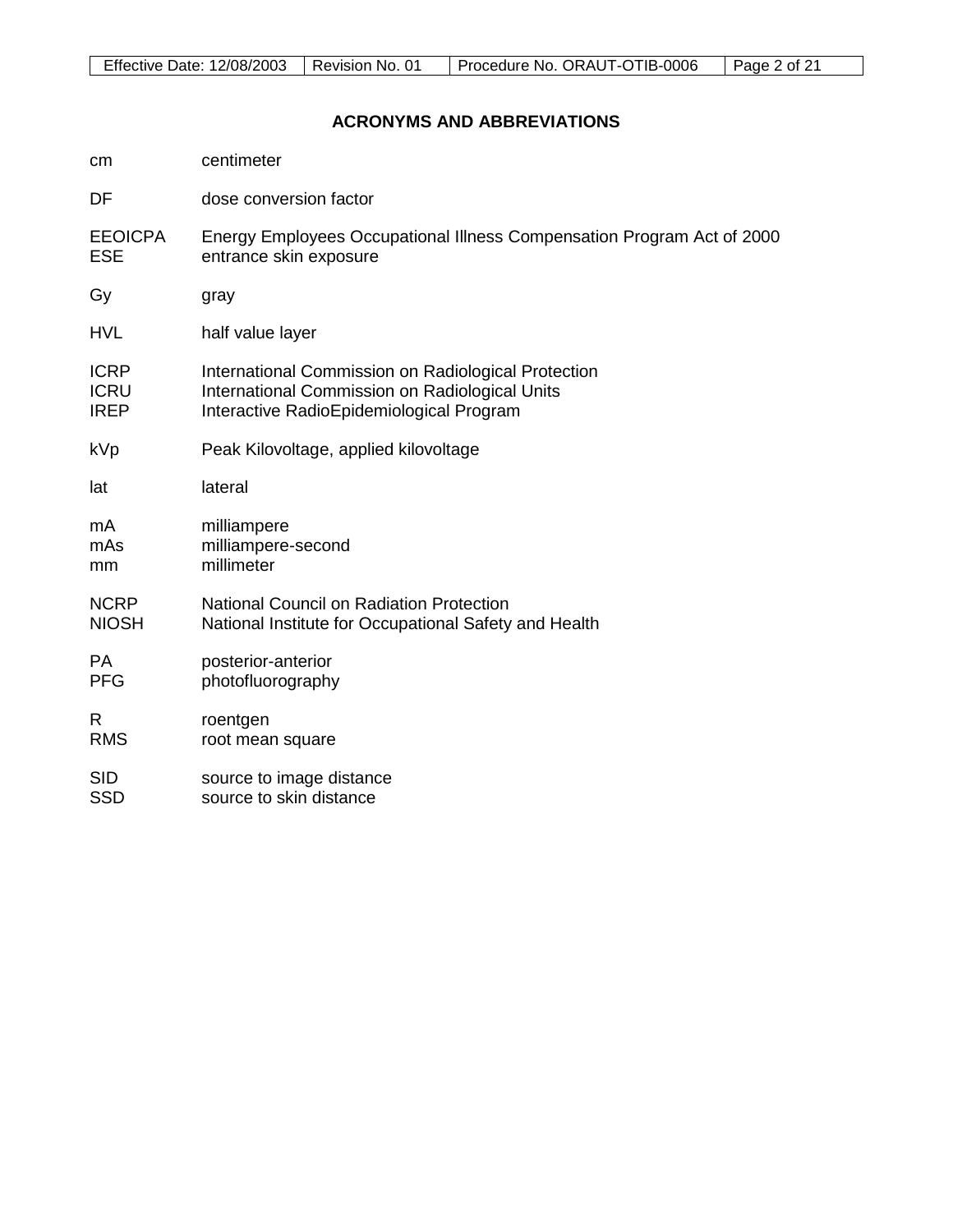# **ACRONYMS AND ABBREVIATIONS**

| cm             | centimeter                                                             |
|----------------|------------------------------------------------------------------------|
| DF             | dose conversion factor                                                 |
| <b>EEOICPA</b> | Energy Employees Occupational Illness Compensation Program Act of 2000 |
| <b>ESE</b>     | entrance skin exposure                                                 |
| Gy             | gray                                                                   |
| <b>HVL</b>     | half value layer                                                       |
| <b>ICRP</b>    | International Commission on Radiological Protection                    |
| <b>ICRU</b>    | International Commission on Radiological Units                         |
| <b>IREP</b>    | Interactive RadioEpidemiological Program                               |
| kVp            | Peak Kilovoltage, applied kilovoltage                                  |
| lat            | lateral                                                                |
| mA             | milliampere                                                            |
| mAs            | milliampere-second                                                     |
| mm             | millimeter                                                             |
| <b>NCRP</b>    | <b>National Council on Radiation Protection</b>                        |
| <b>NIOSH</b>   | National Institute for Occupational Safety and Health                  |
| <b>PA</b>      | posterior-anterior                                                     |
| <b>PFG</b>     | photofluorography                                                      |
| R              | roentgen                                                               |
| <b>RMS</b>     | root mean square                                                       |
| <b>SID</b>     | source to image distance                                               |
| <b>SSD</b>     | source to skin distance                                                |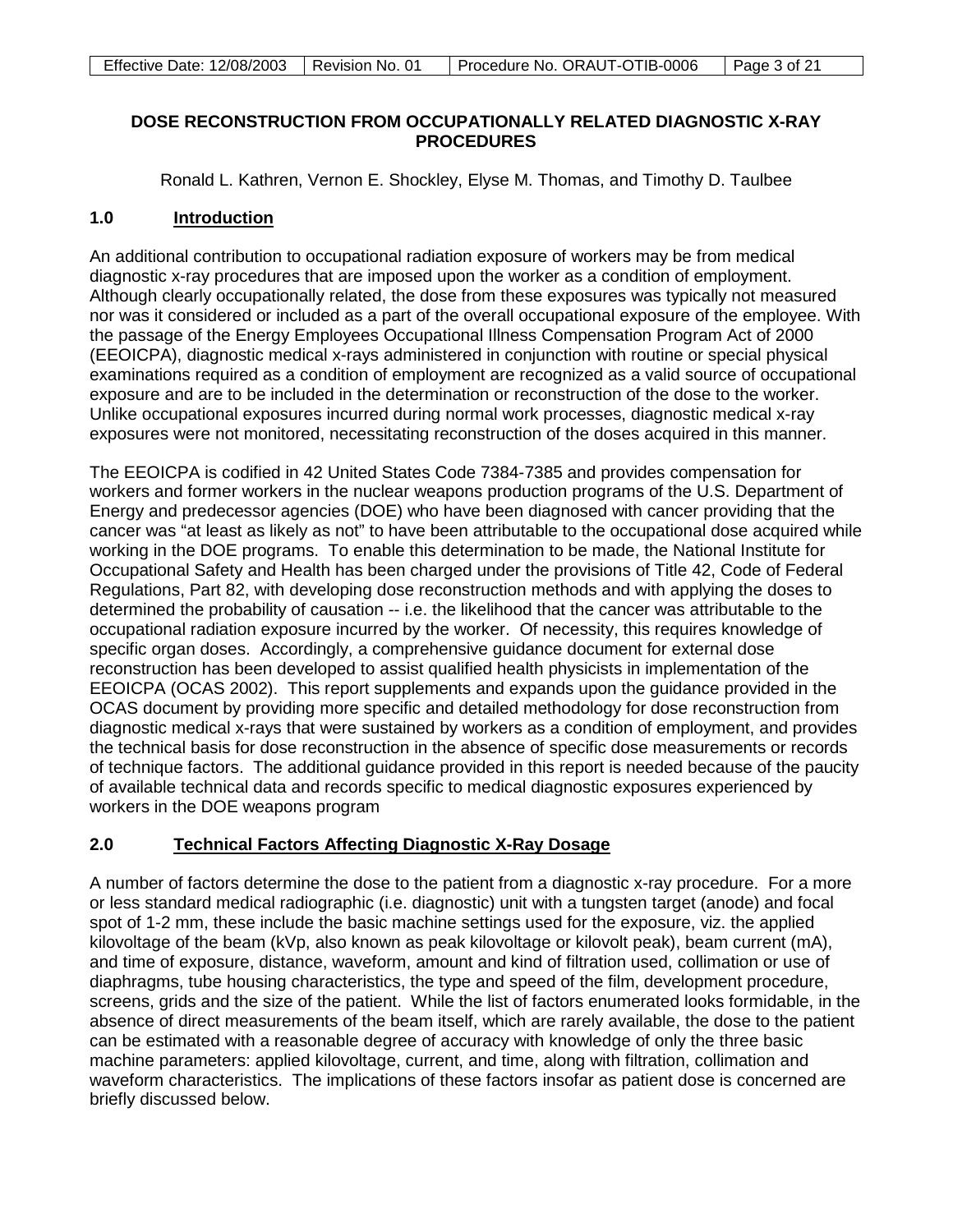## **DOSE RECONSTRUCTION FROM OCCUPATIONALLY RELATED DIAGNOSTIC X-RAY PROCEDURES**

Ronald L. Kathren, Vernon E. Shockley, Elyse M. Thomas, and Timothy D. Taulbee

### **1.0 Introduction**

An additional contribution to occupational radiation exposure of workers may be from medical diagnostic x-ray procedures that are imposed upon the worker as a condition of employment. Although clearly occupationally related, the dose from these exposures was typically not measured nor was it considered or included as a part of the overall occupational exposure of the employee. With the passage of the Energy Employees Occupational Illness Compensation Program Act of 2000 (EEOICPA), diagnostic medical x-rays administered in conjunction with routine or special physical examinations required as a condition of employment are recognized as a valid source of occupational exposure and are to be included in the determination or reconstruction of the dose to the worker. Unlike occupational exposures incurred during normal work processes, diagnostic medical x-ray exposures were not monitored, necessitating reconstruction of the doses acquired in this manner.

The EEOICPA is codified in 42 United States Code 7384-7385 and provides compensation for workers and former workers in the nuclear weapons production programs of the U.S. Department of Energy and predecessor agencies (DOE) who have been diagnosed with cancer providing that the cancer was "at least as likely as not" to have been attributable to the occupational dose acquired while working in the DOE programs. To enable this determination to be made, the National Institute for Occupational Safety and Health has been charged under the provisions of Title 42, Code of Federal Regulations, Part 82, with developing dose reconstruction methods and with applying the doses to determined the probability of causation -- i.e. the likelihood that the cancer was attributable to the occupational radiation exposure incurred by the worker. Of necessity, this requires knowledge of specific organ doses. Accordingly, a comprehensive guidance document for external dose reconstruction has been developed to assist qualified health physicists in implementation of the EEOICPA (OCAS 2002). This report supplements and expands upon the guidance provided in the OCAS document by providing more specific and detailed methodology for dose reconstruction from diagnostic medical x-rays that were sustained by workers as a condition of employment, and provides the technical basis for dose reconstruction in the absence of specific dose measurements or records of technique factors. The additional guidance provided in this report is needed because of the paucity of available technical data and records specific to medical diagnostic exposures experienced by workers in the DOE weapons program

### **2.0 Technical Factors Affecting Diagnostic X-Ray Dosage**

A number of factors determine the dose to the patient from a diagnostic x-ray procedure. For a more or less standard medical radiographic (i.e. diagnostic) unit with a tungsten target (anode) and focal spot of 1-2 mm, these include the basic machine settings used for the exposure, viz. the applied kilovoltage of the beam (kVp, also known as peak kilovoltage or kilovolt peak), beam current (mA), and time of exposure, distance, waveform, amount and kind of filtration used, collimation or use of diaphragms, tube housing characteristics, the type and speed of the film, development procedure, screens, grids and the size of the patient. While the list of factors enumerated looks formidable, in the absence of direct measurements of the beam itself, which are rarely available, the dose to the patient can be estimated with a reasonable degree of accuracy with knowledge of only the three basic machine parameters: applied kilovoltage, current, and time, along with filtration, collimation and waveform characteristics. The implications of these factors insofar as patient dose is concerned are briefly discussed below.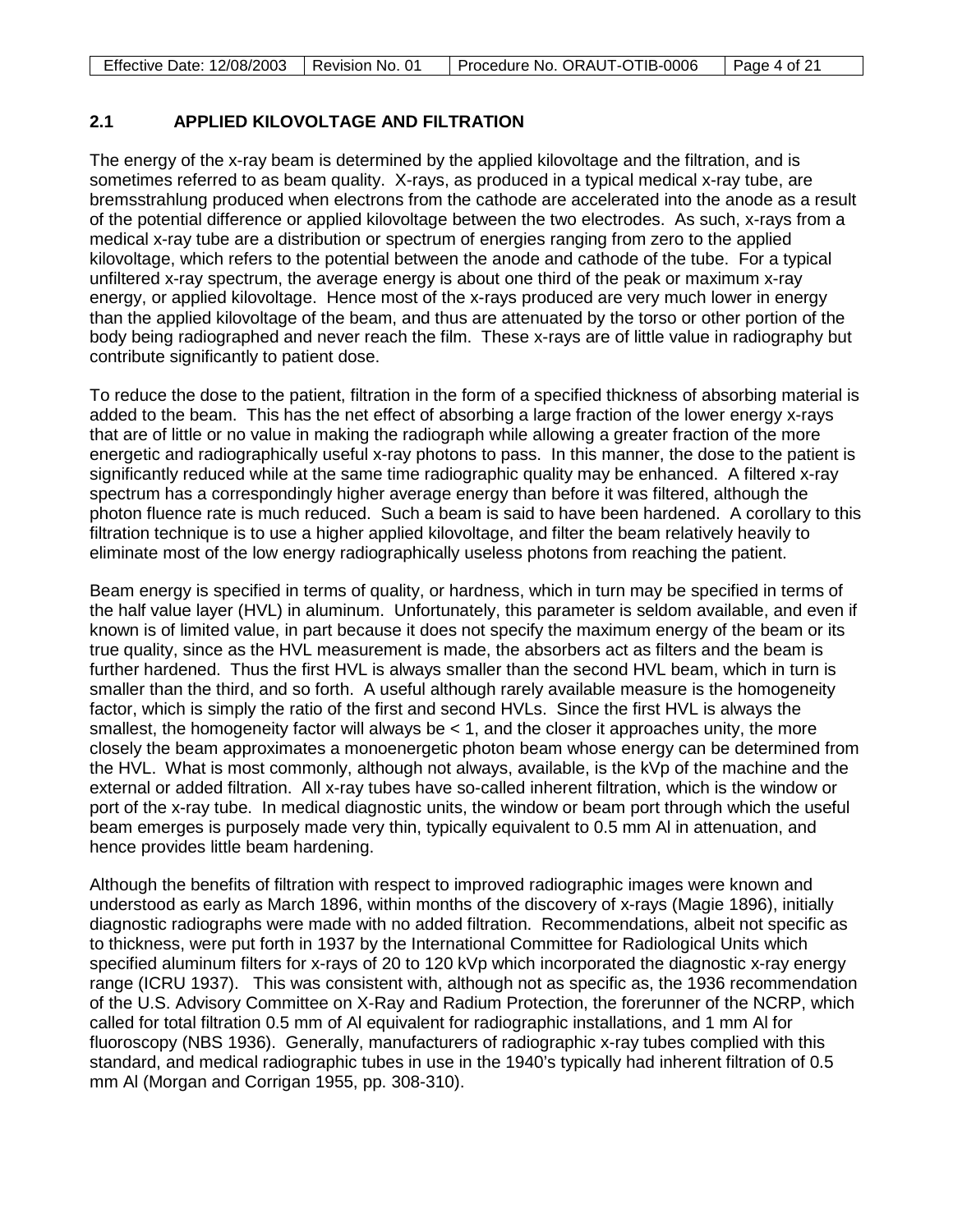| Effective Date: 12/08/2003   Revision No. 01 | Procedure No. ORAUT-OTIB-0006 | $\vert$ Page 4 of 21 |
|----------------------------------------------|-------------------------------|----------------------|

# **2.1 APPLIED KILOVOLTAGE AND FILTRATION**

The energy of the x-ray beam is determined by the applied kilovoltage and the filtration, and is sometimes referred to as beam quality. X-rays, as produced in a typical medical x-ray tube, are bremsstrahlung produced when electrons from the cathode are accelerated into the anode as a result of the potential difference or applied kilovoltage between the two electrodes. As such, x-rays from a medical x-ray tube are a distribution or spectrum of energies ranging from zero to the applied kilovoltage, which refers to the potential between the anode and cathode of the tube. For a typical unfiltered x-ray spectrum, the average energy is about one third of the peak or maximum x-ray energy, or applied kilovoltage. Hence most of the x-rays produced are very much lower in energy than the applied kilovoltage of the beam, and thus are attenuated by the torso or other portion of the body being radiographed and never reach the film. These x-rays are of little value in radiography but contribute significantly to patient dose.

To reduce the dose to the patient, filtration in the form of a specified thickness of absorbing material is added to the beam. This has the net effect of absorbing a large fraction of the lower energy x-rays that are of little or no value in making the radiograph while allowing a greater fraction of the more energetic and radiographically useful x-ray photons to pass. In this manner, the dose to the patient is significantly reduced while at the same time radiographic quality may be enhanced. A filtered x-ray spectrum has a correspondingly higher average energy than before it was filtered, although the photon fluence rate is much reduced. Such a beam is said to have been hardened. A corollary to this filtration technique is to use a higher applied kilovoltage, and filter the beam relatively heavily to eliminate most of the low energy radiographically useless photons from reaching the patient.

Beam energy is specified in terms of quality, or hardness, which in turn may be specified in terms of the half value layer (HVL) in aluminum. Unfortunately, this parameter is seldom available, and even if known is of limited value, in part because it does not specify the maximum energy of the beam or its true quality, since as the HVL measurement is made, the absorbers act as filters and the beam is further hardened. Thus the first HVL is always smaller than the second HVL beam, which in turn is smaller than the third, and so forth. A useful although rarely available measure is the homogeneity factor, which is simply the ratio of the first and second HVLs. Since the first HVL is always the smallest, the homogeneity factor will always be  $< 1$ , and the closer it approaches unity, the more closely the beam approximates a monoenergetic photon beam whose energy can be determined from the HVL. What is most commonly, although not always, available, is the kVp of the machine and the external or added filtration. All x-ray tubes have so-called inherent filtration, which is the window or port of the x-ray tube. In medical diagnostic units, the window or beam port through which the useful beam emerges is purposely made very thin, typically equivalent to 0.5 mm Al in attenuation, and hence provides little beam hardening.

Although the benefits of filtration with respect to improved radiographic images were known and understood as early as March 1896, within months of the discovery of x-rays (Magie 1896), initially diagnostic radiographs were made with no added filtration. Recommendations, albeit not specific as to thickness, were put forth in 1937 by the International Committee for Radiological Units which specified aluminum filters for x-rays of 20 to 120 kVp which incorporated the diagnostic x-ray energy range (ICRU 1937). This was consistent with, although not as specific as, the 1936 recommendation of the U.S. Advisory Committee on X-Ray and Radium Protection, the forerunner of the NCRP, which called for total filtration 0.5 mm of Al equivalent for radiographic installations, and 1 mm Al for fluoroscopy (NBS 1936). Generally, manufacturers of radiographic x-ray tubes complied with this standard, and medical radiographic tubes in use in the 1940's typically had inherent filtration of 0.5 mm Al (Morgan and Corrigan 1955, pp. 308-310).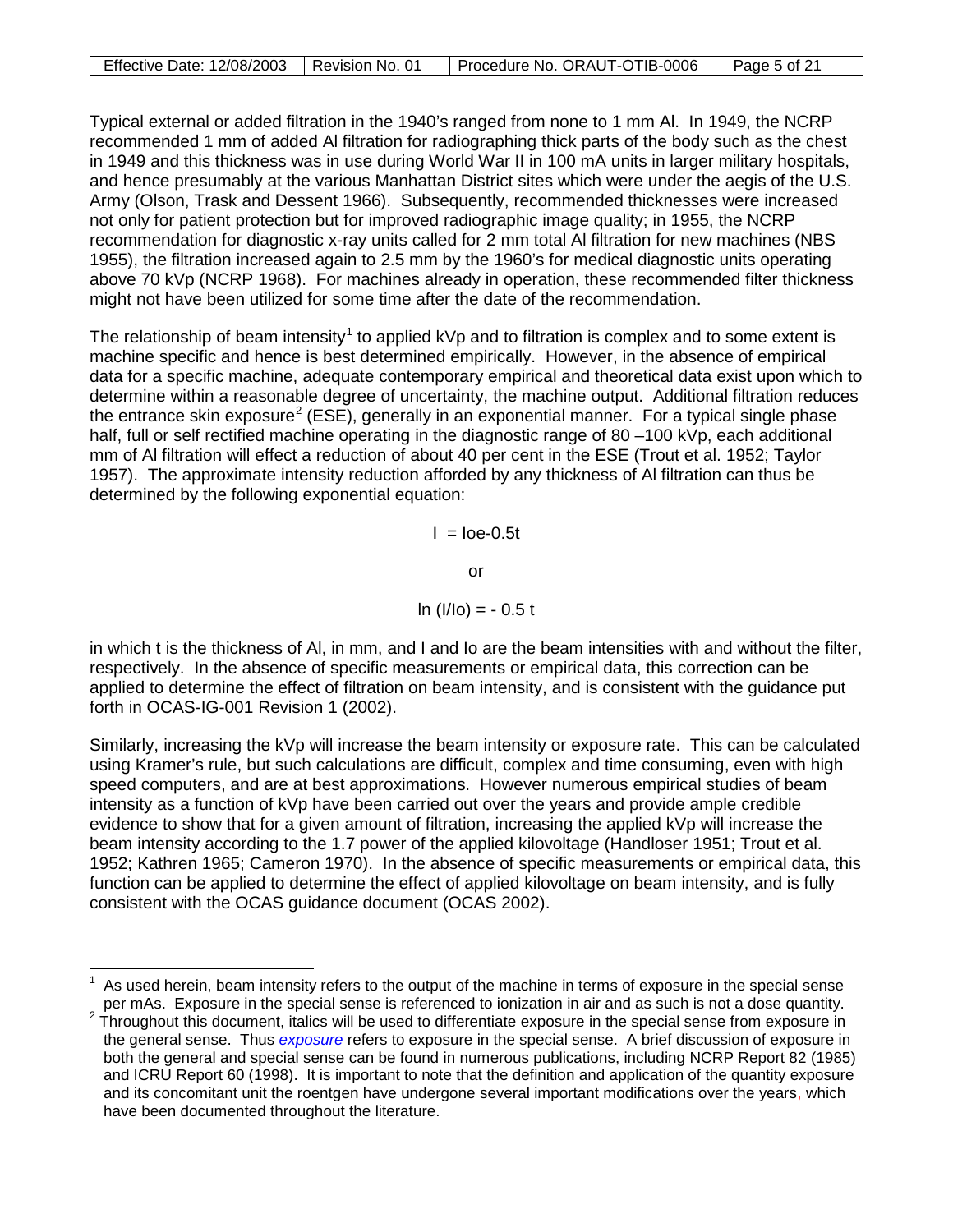| Effective Date: 12/08/2003   Revision No. | Procedure No. ORAUT-OTIB-0006 | Page 5 of 21 |
|-------------------------------------------|-------------------------------|--------------|

Typical external or added filtration in the 1940's ranged from none to 1 mm Al. In 1949, the NCRP recommended 1 mm of added Al filtration for radiographing thick parts of the body such as the chest in 1949 and this thickness was in use during World War II in 100 mA units in larger military hospitals, and hence presumably at the various Manhattan District sites which were under the aegis of the U.S. Army (Olson, Trask and Dessent 1966). Subsequently, recommended thicknesses were increased not only for patient protection but for improved radiographic image quality; in 1955, the NCRP recommendation for diagnostic x-ray units called for 2 mm total Al filtration for new machines (NBS 1955), the filtration increased again to 2.5 mm by the 1960's for medical diagnostic units operating above 70 kVp (NCRP 1968). For machines already in operation, these recommended filter thickness might not have been utilized for some time after the date of the recommendation.

The relationship of beam intensity<sup>[1](#page-4-0)</sup> to applied kVp and to filtration is complex and to some extent is machine specific and hence is best determined empirically. However, in the absence of empirical data for a specific machine, adequate contemporary empirical and theoretical data exist upon which to determine within a reasonable degree of uncertainty, the machine output. Additional filtration reduces the entrance skin exposure<sup>[2](#page-4-1)</sup> (ESE), generally in an exponential manner. For a typical single phase half, full or self rectified machine operating in the diagnostic range of 80 –100 kVp, each additional mm of Al filtration will effect a reduction of about 40 per cent in the ESE (Trout et al. 1952; Taylor 1957). The approximate intensity reduction afforded by any thickness of Al filtration can thus be determined by the following exponential equation:

 $I =$   $\text{Ioe-0.5t}$ 

or

$$
\ln (I/I_0) = -0.5 t
$$

in which t is the thickness of Al, in mm, and I and Io are the beam intensities with and without the filter, respectively. In the absence of specific measurements or empirical data, this correction can be applied to determine the effect of filtration on beam intensity, and is consistent with the guidance put forth in OCAS-IG-001 Revision 1 (2002).

Similarly, increasing the kVp will increase the beam intensity or exposure rate. This can be calculated using Kramer's rule, but such calculations are difficult, complex and time consuming, even with high speed computers, and are at best approximations. However numerous empirical studies of beam intensity as a function of kVp have been carried out over the years and provide ample credible evidence to show that for a given amount of filtration, increasing the applied kVp will increase the beam intensity according to the 1.7 power of the applied kilovoltage (Handloser 1951; Trout et al. 1952; Kathren 1965; Cameron 1970). In the absence of specific measurements or empirical data, this function can be applied to determine the effect of applied kilovoltage on beam intensity, and is fully consistent with the OCAS guidance document (OCAS 2002).

<span id="page-4-0"></span> $\overline{\phantom{a}}$ 1 As used herein, beam intensity refers to the output of the machine in terms of exposure in the special sense per mAs. Exposure in the special sense is referenced to ionization in air and as such is not a dose quantity.

<span id="page-4-1"></span> $2\text{ }T$  Throughout this document, italics will be used to differentiate exposure in the special sense from exposure in the general sense. Thus *exposure* refers to exposure in the special sense. A brief discussion of exposure in both the general and special sense can be found in numerous publications, including NCRP Report 82 (1985) and ICRU Report 60 (1998). It is important to note that the definition and application of the quantity exposure and its concomitant unit the roentgen have undergone several important modifications over the years, which have been documented throughout the literature.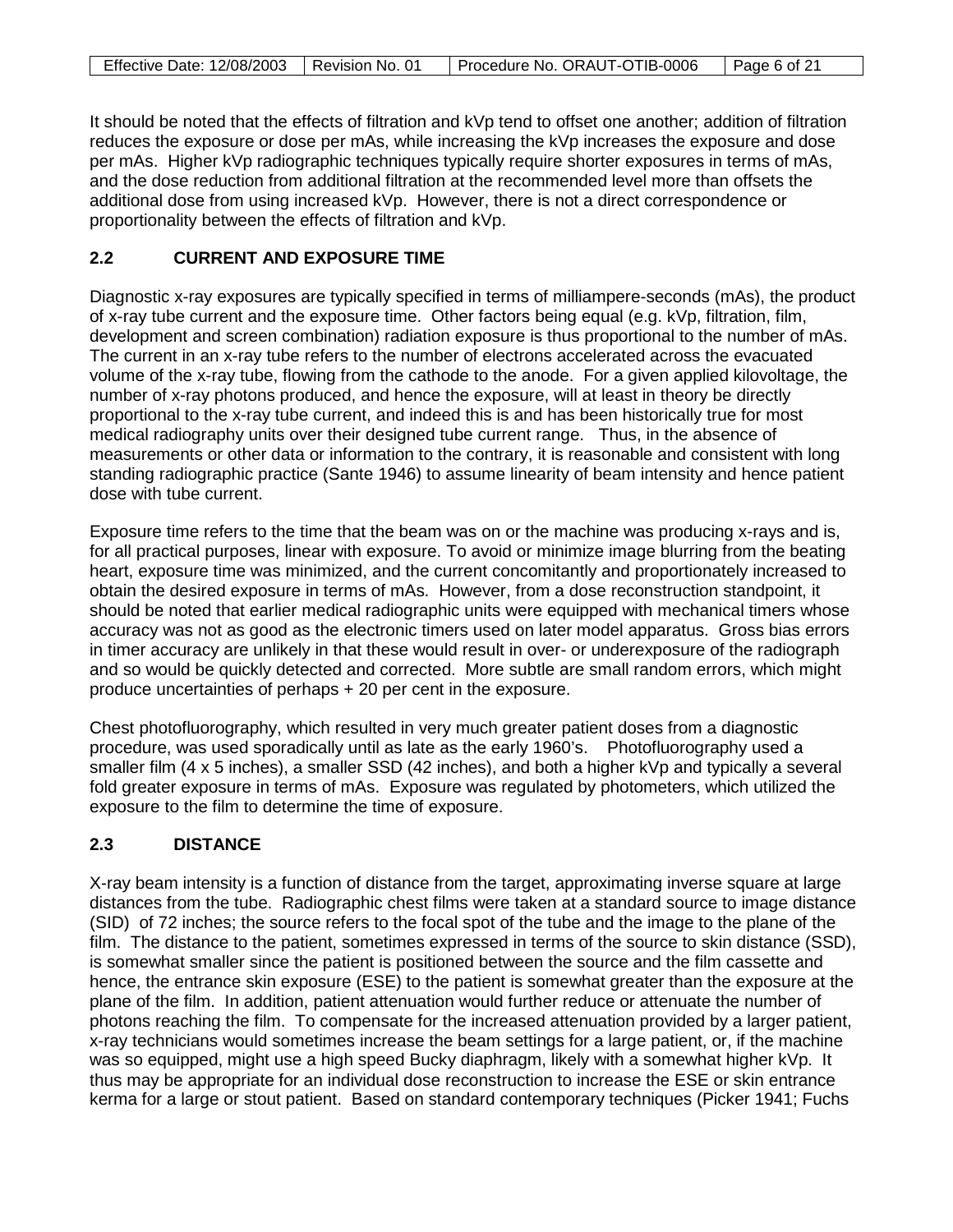| Effective Date: 12/08/2003   Revision No. 01 | Procedure No. ORAUT-OTIB-0006   Page 6 of 21 |  |
|----------------------------------------------|----------------------------------------------|--|

It should be noted that the effects of filtration and kVp tend to offset one another; addition of filtration reduces the exposure or dose per mAs, while increasing the kVp increases the exposure and dose per mAs. Higher kVp radiographic techniques typically require shorter exposures in terms of mAs, and the dose reduction from additional filtration at the recommended level more than offsets the additional dose from using increased kVp. However, there is not a direct correspondence or proportionality between the effects of filtration and kVp.

# **2.2 CURRENT AND EXPOSURE TIME**

Diagnostic x-ray exposures are typically specified in terms of milliampere-seconds (mAs), the product of x-ray tube current and the exposure time. Other factors being equal (e.g. kVp, filtration, film, development and screen combination) radiation exposure is thus proportional to the number of mAs. The current in an x-ray tube refers to the number of electrons accelerated across the evacuated volume of the x-ray tube, flowing from the cathode to the anode. For a given applied kilovoltage, the number of x-ray photons produced, and hence the exposure, will at least in theory be directly proportional to the x-ray tube current, and indeed this is and has been historically true for most medical radiography units over their designed tube current range. Thus, in the absence of measurements or other data or information to the contrary, it is reasonable and consistent with long standing radiographic practice (Sante 1946) to assume linearity of beam intensity and hence patient dose with tube current.

Exposure time refers to the time that the beam was on or the machine was producing x-rays and is, for all practical purposes, linear with exposure. To avoid or minimize image blurring from the beating heart, exposure time was minimized, and the current concomitantly and proportionately increased to obtain the desired exposure in terms of mAs. However, from a dose reconstruction standpoint, it should be noted that earlier medical radiographic units were equipped with mechanical timers whose accuracy was not as good as the electronic timers used on later model apparatus. Gross bias errors in timer accuracy are unlikely in that these would result in over- or underexposure of the radiograph and so would be quickly detected and corrected. More subtle are small random errors, which might produce uncertainties of perhaps + 20 per cent in the exposure.

Chest photofluorography, which resulted in very much greater patient doses from a diagnostic procedure, was used sporadically until as late as the early 1960's. Photofluorography used a smaller film (4 x 5 inches), a smaller SSD (42 inches), and both a higher kVp and typically a several fold greater exposure in terms of mAs. Exposure was regulated by photometers, which utilized the exposure to the film to determine the time of exposure.

# **2.3 DISTANCE**

X-ray beam intensity is a function of distance from the target, approximating inverse square at large distances from the tube. Radiographic chest films were taken at a standard source to image distance (SID) of 72 inches; the source refers to the focal spot of the tube and the image to the plane of the film. The distance to the patient, sometimes expressed in terms of the source to skin distance (SSD), is somewhat smaller since the patient is positioned between the source and the film cassette and hence, the entrance skin exposure (ESE) to the patient is somewhat greater than the exposure at the plane of the film. In addition, patient attenuation would further reduce or attenuate the number of photons reaching the film. To compensate for the increased attenuation provided by a larger patient, x-ray technicians would sometimes increase the beam settings for a large patient, or, if the machine was so equipped, might use a high speed Bucky diaphragm, likely with a somewhat higher kVp. It thus may be appropriate for an individual dose reconstruction to increase the ESE or skin entrance kerma for a large or stout patient. Based on standard contemporary techniques (Picker 1941; Fuchs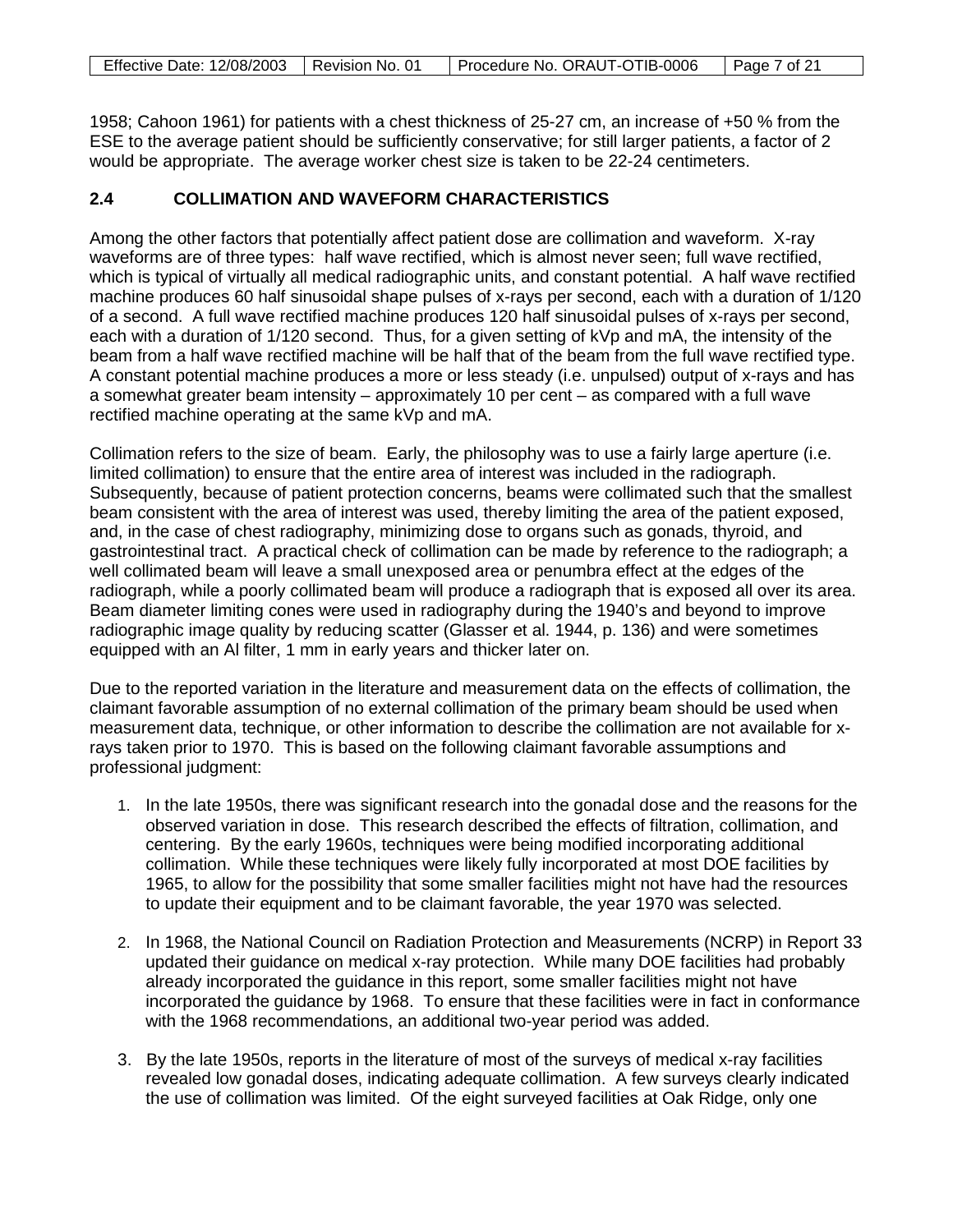| Effective Date: 12/08/2003   Revision No. 01 | Procedure No. ORAUT-OTIB-0006 | $\vert$ Page 7 of 21 |
|----------------------------------------------|-------------------------------|----------------------|

1958; Cahoon 1961) for patients with a chest thickness of 25-27 cm, an increase of +50 % from the ESE to the average patient should be sufficiently conservative; for still larger patients, a factor of 2 would be appropriate. The average worker chest size is taken to be 22-24 centimeters.

# **2.4 COLLIMATION AND WAVEFORM CHARACTERISTICS**

Among the other factors that potentially affect patient dose are collimation and waveform. X-ray waveforms are of three types: half wave rectified, which is almost never seen; full wave rectified, which is typical of virtually all medical radiographic units, and constant potential. A half wave rectified machine produces 60 half sinusoidal shape pulses of x-rays per second, each with a duration of 1/120 of a second. A full wave rectified machine produces 120 half sinusoidal pulses of x-rays per second, each with a duration of 1/120 second. Thus, for a given setting of kVp and mA, the intensity of the beam from a half wave rectified machine will be half that of the beam from the full wave rectified type. A constant potential machine produces a more or less steady (i.e. unpulsed) output of x-rays and has a somewhat greater beam intensity – approximately 10 per cent – as compared with a full wave rectified machine operating at the same kVp and mA.

Collimation refers to the size of beam. Early, the philosophy was to use a fairly large aperture (i.e. limited collimation) to ensure that the entire area of interest was included in the radiograph. Subsequently, because of patient protection concerns, beams were collimated such that the smallest beam consistent with the area of interest was used, thereby limiting the area of the patient exposed, and, in the case of chest radiography, minimizing dose to organs such as gonads, thyroid, and gastrointestinal tract. A practical check of collimation can be made by reference to the radiograph; a well collimated beam will leave a small unexposed area or penumbra effect at the edges of the radiograph, while a poorly collimated beam will produce a radiograph that is exposed all over its area. Beam diameter limiting cones were used in radiography during the 1940's and beyond to improve radiographic image quality by reducing scatter (Glasser et al. 1944, p. 136) and were sometimes equipped with an Al filter, 1 mm in early years and thicker later on.

Due to the reported variation in the literature and measurement data on the effects of collimation, the claimant favorable assumption of no external collimation of the primary beam should be used when measurement data, technique, or other information to describe the collimation are not available for xrays taken prior to 1970. This is based on the following claimant favorable assumptions and professional judgment:

- 1. In the late 1950s, there was significant research into the gonadal dose and the reasons for the observed variation in dose. This research described the effects of filtration, collimation, and centering. By the early 1960s, techniques were being modified incorporating additional collimation. While these techniques were likely fully incorporated at most DOE facilities by 1965, to allow for the possibility that some smaller facilities might not have had the resources to update their equipment and to be claimant favorable, the year 1970 was selected.
- 2. In 1968, the National Council on Radiation Protection and Measurements (NCRP) in Report 33 updated their guidance on medical x-ray protection. While many DOE facilities had probably already incorporated the guidance in this report, some smaller facilities might not have incorporated the guidance by 1968. To ensure that these facilities were in fact in conformance with the 1968 recommendations, an additional two-year period was added.
- 3. By the late 1950s, reports in the literature of most of the surveys of medical x-ray facilities revealed low gonadal doses, indicating adequate collimation. A few surveys clearly indicated the use of collimation was limited. Of the eight surveyed facilities at Oak Ridge, only one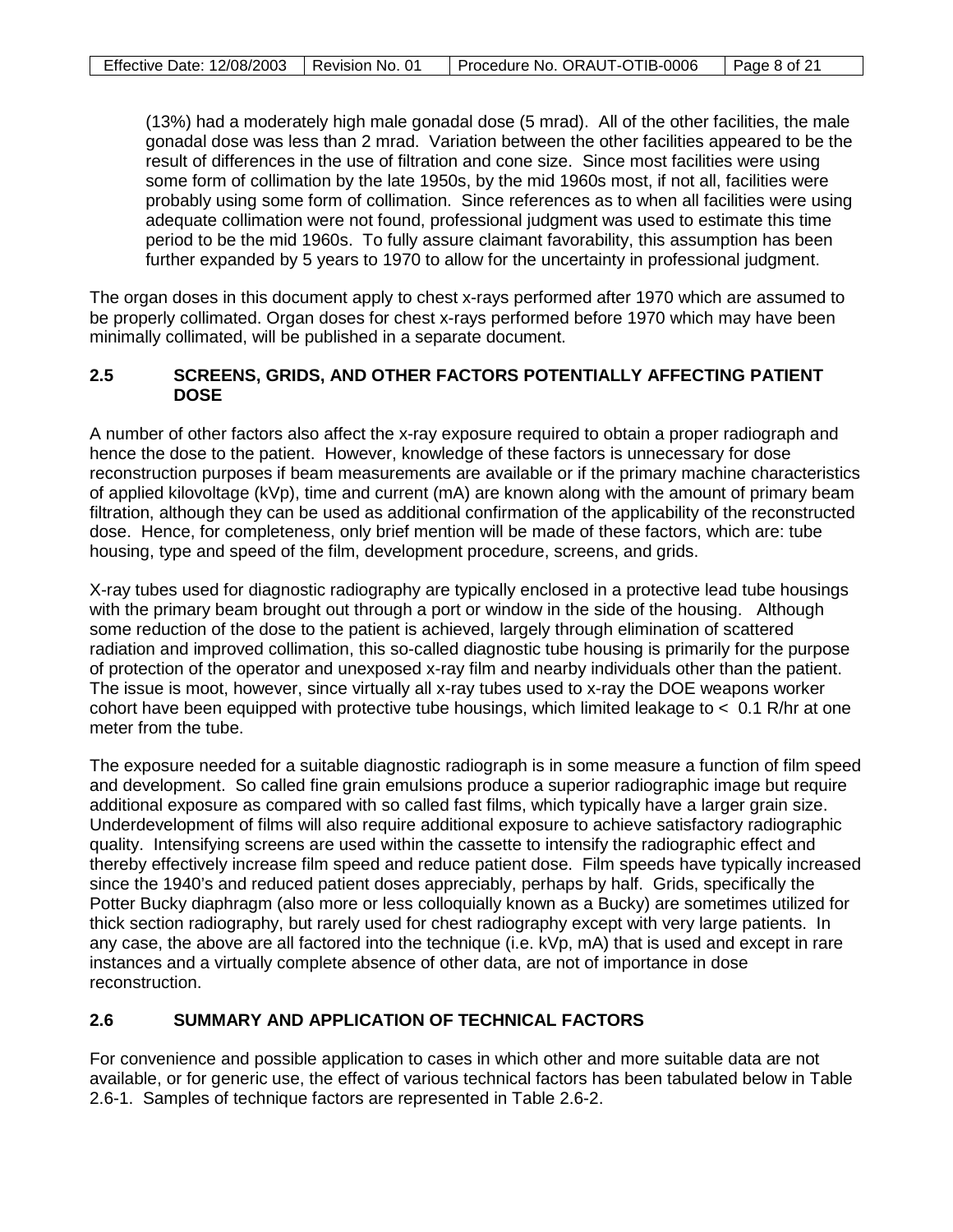(13%) had a moderately high male gonadal dose (5 mrad). All of the other facilities, the male gonadal dose was less than 2 mrad. Variation between the other facilities appeared to be the result of differences in the use of filtration and cone size. Since most facilities were using some form of collimation by the late 1950s, by the mid 1960s most, if not all, facilities were probably using some form of collimation. Since references as to when all facilities were using adequate collimation were not found, professional judgment was used to estimate this time period to be the mid 1960s. To fully assure claimant favorability, this assumption has been further expanded by 5 years to 1970 to allow for the uncertainty in professional judgment.

The organ doses in this document apply to chest x-rays performed after 1970 which are assumed to be properly collimated. Organ doses for chest x-rays performed before 1970 which may have been minimally collimated, will be published in a separate document.

### **2.5 SCREENS, GRIDS, AND OTHER FACTORS POTENTIALLY AFFECTING PATIENT DOSE**

A number of other factors also affect the x-ray exposure required to obtain a proper radiograph and hence the dose to the patient. However, knowledge of these factors is unnecessary for dose reconstruction purposes if beam measurements are available or if the primary machine characteristics of applied kilovoltage (kVp), time and current (mA) are known along with the amount of primary beam filtration, although they can be used as additional confirmation of the applicability of the reconstructed dose. Hence, for completeness, only brief mention will be made of these factors, which are: tube housing, type and speed of the film, development procedure, screens, and grids.

X-ray tubes used for diagnostic radiography are typically enclosed in a protective lead tube housings with the primary beam brought out through a port or window in the side of the housing. Although some reduction of the dose to the patient is achieved, largely through elimination of scattered radiation and improved collimation, this so-called diagnostic tube housing is primarily for the purpose of protection of the operator and unexposed x-ray film and nearby individuals other than the patient. The issue is moot, however, since virtually all x-ray tubes used to x-ray the DOE weapons worker cohort have been equipped with protective tube housings, which limited leakage to < 0.1 R/hr at one meter from the tube.

The exposure needed for a suitable diagnostic radiograph is in some measure a function of film speed and development. So called fine grain emulsions produce a superior radiographic image but require additional exposure as compared with so called fast films, which typically have a larger grain size. Underdevelopment of films will also require additional exposure to achieve satisfactory radiographic quality. Intensifying screens are used within the cassette to intensify the radiographic effect and thereby effectively increase film speed and reduce patient dose. Film speeds have typically increased since the 1940's and reduced patient doses appreciably, perhaps by half. Grids, specifically the Potter Bucky diaphragm (also more or less colloquially known as a Bucky) are sometimes utilized for thick section radiography, but rarely used for chest radiography except with very large patients. In any case, the above are all factored into the technique (i.e. kVp, mA) that is used and except in rare instances and a virtually complete absence of other data, are not of importance in dose reconstruction.

# **2.6 SUMMARY AND APPLICATION OF TECHNICAL FACTORS**

For convenience and possible application to cases in which other and more suitable data are not available, or for generic use, the effect of various technical factors has been tabulated below in Table 2.6-1. Samples of technique factors are represented in Table 2.6-2.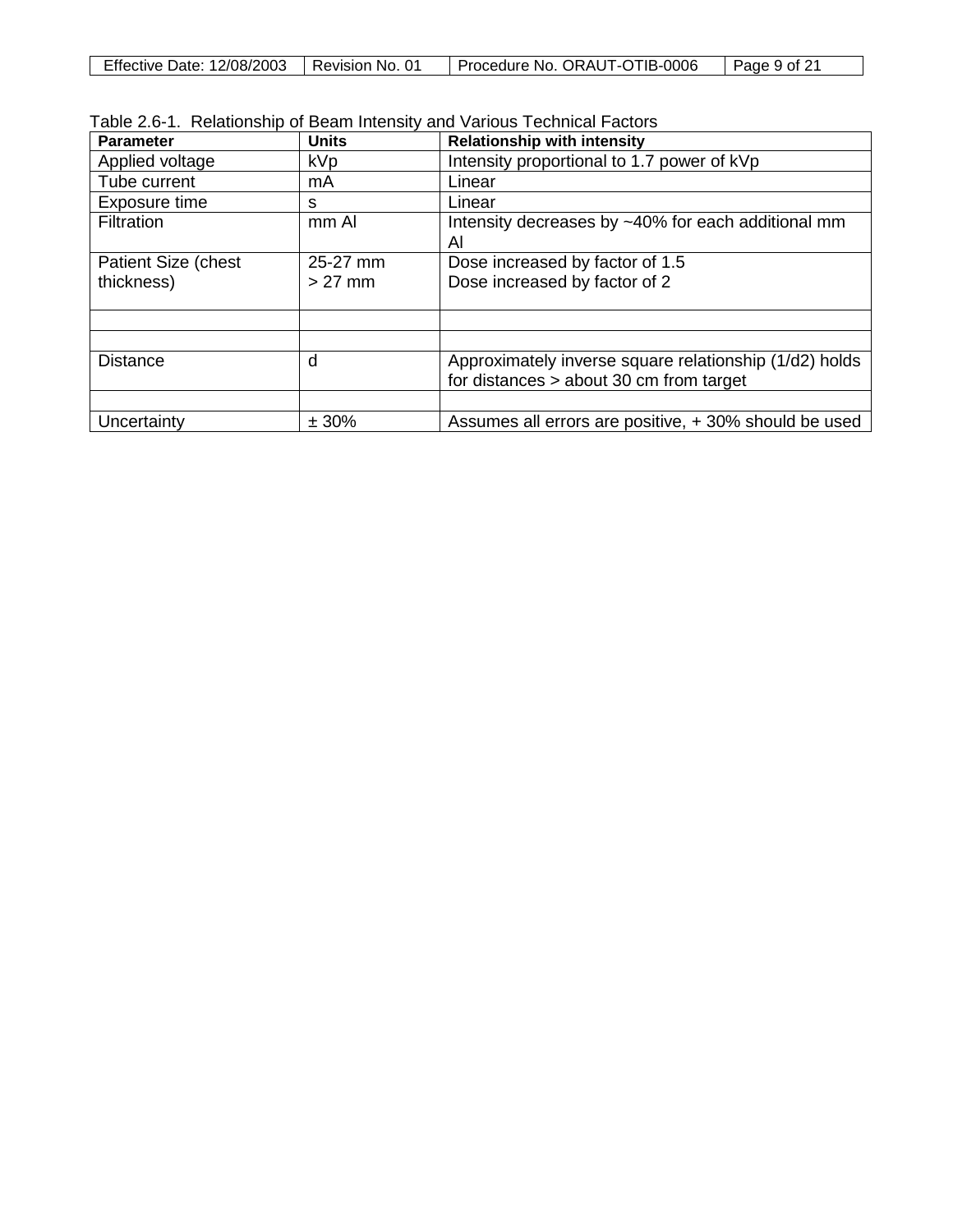| Effective<br>12/08/2003<br>Date: | 0 <sup>1</sup><br>Revision No. | ORAUT-OTIB-0006<br>Procedure No. | of 21<br>Page |
|----------------------------------|--------------------------------|----------------------------------|---------------|
|                                  |                                |                                  |               |

|  |  |  |  |  | Table 2.6-1. Relationship of Beam Intensity and Various Technical Factors |
|--|--|--|--|--|---------------------------------------------------------------------------|
|--|--|--|--|--|---------------------------------------------------------------------------|

| <b>Parameter</b>            | <b>Units</b> | <b>Relationship with intensity</b>                     |
|-----------------------------|--------------|--------------------------------------------------------|
| Applied voltage             | <b>kVp</b>   | Intensity proportional to 1.7 power of kVp             |
| Tube current                | mA           | Linear                                                 |
| Exposure time               | s            | Linear                                                 |
| <b>Filtration</b>           | mm Al        | Intensity decreases by ~40% for each additional mm     |
|                             |              | Al                                                     |
| <b>Patient Size (chest)</b> | 25-27 mm     | Dose increased by factor of 1.5                        |
| thickness)                  | $>27$ mm     | Dose increased by factor of 2                          |
|                             |              |                                                        |
|                             |              |                                                        |
|                             |              |                                                        |
| <b>Distance</b>             | d            | Approximately inverse square relationship (1/d2) holds |
|                             |              | for distances $>$ about 30 cm from target              |
|                             |              |                                                        |
| Uncertainty                 | ± 30%        | Assumes all errors are positive, +30% should be used   |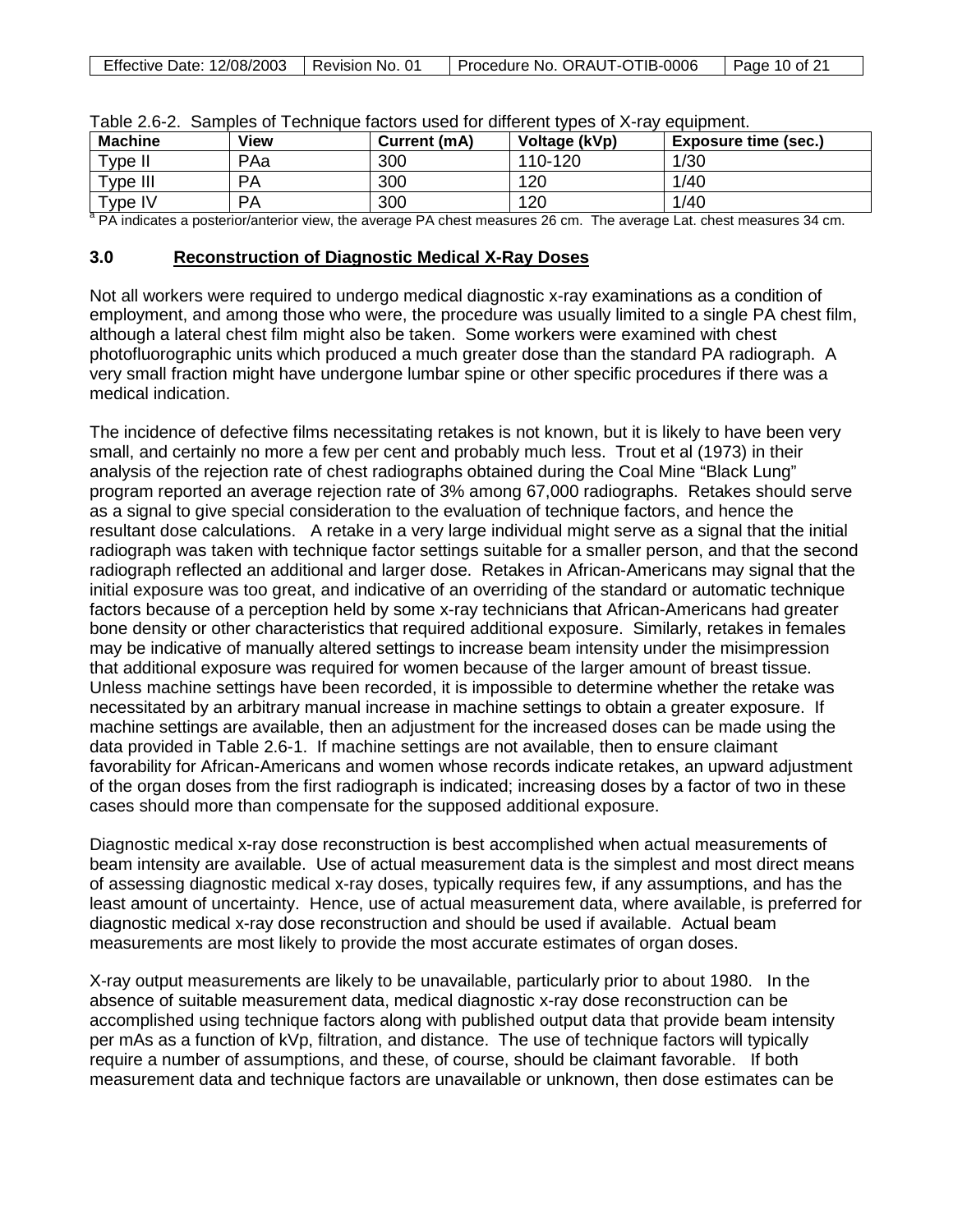| Effective Date: 12/08/2003   Revision No. 01 | Procedure No. ORAUT-OTIB-0006 | $\vert$ Page 10 of 21 |
|----------------------------------------------|-------------------------------|-----------------------|
|                                              |                               |                       |

| <b>Machine</b>         | View      | Current (mA) | Voltage (kVp) | <b>Exposure time (sec.)</b> |
|------------------------|-----------|--------------|---------------|-----------------------------|
| Type II                | PAa       | 300          | 110-120       | 1/30                        |
| Type III               | <b>PA</b> | 300          | 120           | 1/40                        |
| $T$ <sub>V</sub> pe IV | <b>PA</b> | 300          | 120           | 1/40                        |

| Table 2.6-2. Samples of Technique factors used for different types of X-ray equipment. |  |  |  |  |  |  |  |
|----------------------------------------------------------------------------------------|--|--|--|--|--|--|--|
|----------------------------------------------------------------------------------------|--|--|--|--|--|--|--|

<sup>a</sup> PA indicates a posterior/anterior view, the average PA chest measures 26 cm. The average Lat. chest measures 34 cm.

### **3.0 Reconstruction of Diagnostic Medical X-Ray Doses**

Not all workers were required to undergo medical diagnostic x-ray examinations as a condition of employment, and among those who were, the procedure was usually limited to a single PA chest film, although a lateral chest film might also be taken. Some workers were examined with chest photofluorographic units which produced a much greater dose than the standard PA radiograph. A very small fraction might have undergone lumbar spine or other specific procedures if there was a medical indication.

The incidence of defective films necessitating retakes is not known, but it is likely to have been very small, and certainly no more a few per cent and probably much less. Trout et al (1973) in their analysis of the rejection rate of chest radiographs obtained during the Coal Mine "Black Lung" program reported an average rejection rate of 3% among 67,000 radiographs. Retakes should serve as a signal to give special consideration to the evaluation of technique factors, and hence the resultant dose calculations. A retake in a very large individual might serve as a signal that the initial radiograph was taken with technique factor settings suitable for a smaller person, and that the second radiograph reflected an additional and larger dose. Retakes in African-Americans may signal that the initial exposure was too great, and indicative of an overriding of the standard or automatic technique factors because of a perception held by some x-ray technicians that African-Americans had greater bone density or other characteristics that required additional exposure. Similarly, retakes in females may be indicative of manually altered settings to increase beam intensity under the misimpression that additional exposure was required for women because of the larger amount of breast tissue. Unless machine settings have been recorded, it is impossible to determine whether the retake was necessitated by an arbitrary manual increase in machine settings to obtain a greater exposure. If machine settings are available, then an adjustment for the increased doses can be made using the data provided in Table 2.6-1. If machine settings are not available, then to ensure claimant favorability for African-Americans and women whose records indicate retakes, an upward adjustment of the organ doses from the first radiograph is indicated; increasing doses by a factor of two in these cases should more than compensate for the supposed additional exposure.

Diagnostic medical x-ray dose reconstruction is best accomplished when actual measurements of beam intensity are available. Use of actual measurement data is the simplest and most direct means of assessing diagnostic medical x-ray doses, typically requires few, if any assumptions, and has the least amount of uncertainty. Hence, use of actual measurement data, where available, is preferred for diagnostic medical x-ray dose reconstruction and should be used if available. Actual beam measurements are most likely to provide the most accurate estimates of organ doses.

X-ray output measurements are likely to be unavailable, particularly prior to about 1980. In the absence of suitable measurement data, medical diagnostic x-ray dose reconstruction can be accomplished using technique factors along with published output data that provide beam intensity per mAs as a function of kVp, filtration, and distance. The use of technique factors will typically require a number of assumptions, and these, of course, should be claimant favorable. If both measurement data and technique factors are unavailable or unknown, then dose estimates can be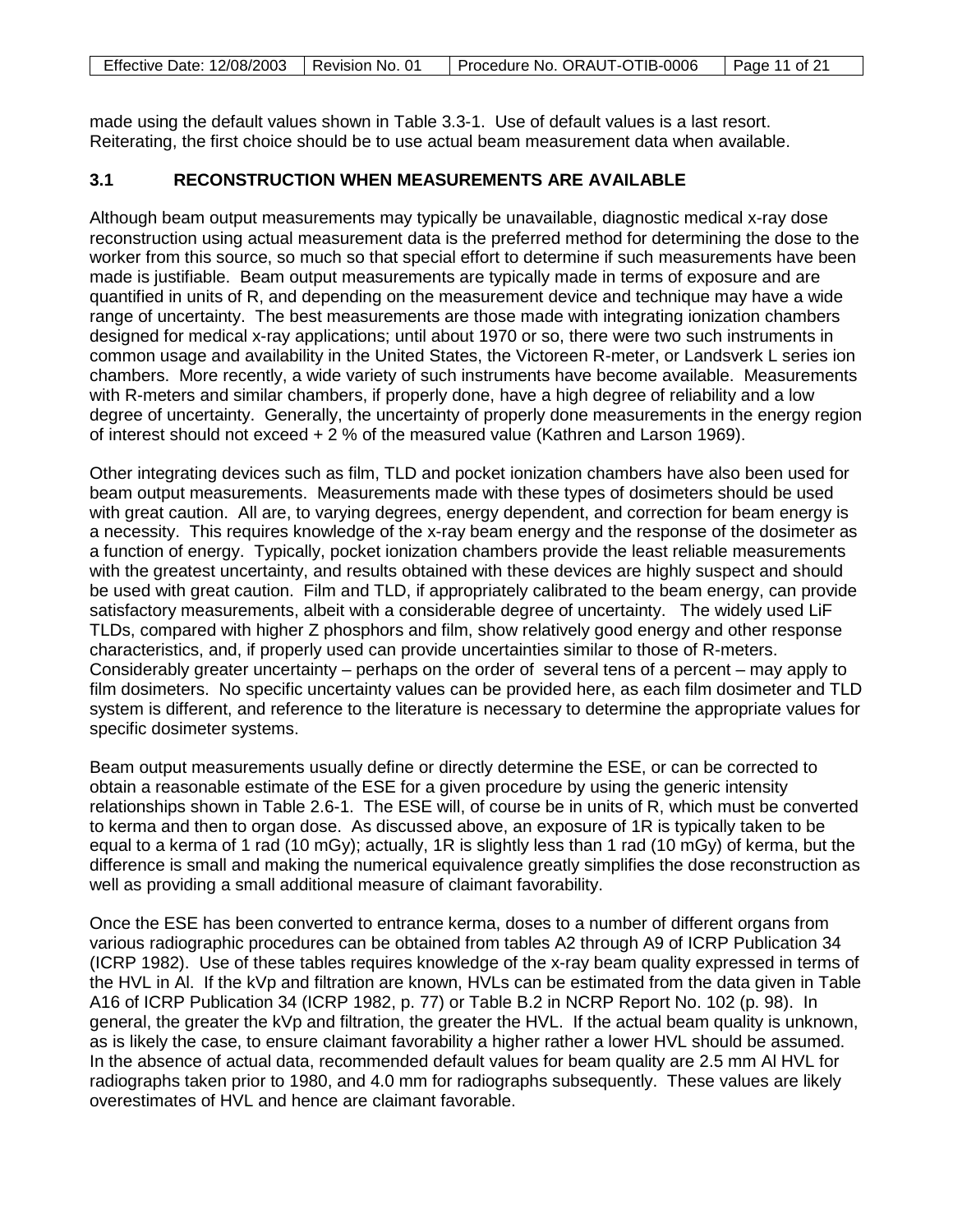| Effective Date: 12/08/2003   Revision No. 01 | Procedure No. ORAUT-OTIB-0006 | Page 11 of 21 |
|----------------------------------------------|-------------------------------|---------------|

made using the default values shown in Table 3.3-1. Use of default values is a last resort. Reiterating, the first choice should be to use actual beam measurement data when available.

# **3.1 RECONSTRUCTION WHEN MEASUREMENTS ARE AVAILABLE**

Although beam output measurements may typically be unavailable, diagnostic medical x-ray dose reconstruction using actual measurement data is the preferred method for determining the dose to the worker from this source, so much so that special effort to determine if such measurements have been made is justifiable. Beam output measurements are typically made in terms of exposure and are quantified in units of R, and depending on the measurement device and technique may have a wide range of uncertainty. The best measurements are those made with integrating ionization chambers designed for medical x-ray applications; until about 1970 or so, there were two such instruments in common usage and availability in the United States, the Victoreen R-meter, or Landsverk L series ion chambers. More recently, a wide variety of such instruments have become available. Measurements with R-meters and similar chambers, if properly done, have a high degree of reliability and a low degree of uncertainty. Generally, the uncertainty of properly done measurements in the energy region of interest should not exceed + 2 % of the measured value (Kathren and Larson 1969).

Other integrating devices such as film, TLD and pocket ionization chambers have also been used for beam output measurements. Measurements made with these types of dosimeters should be used with great caution. All are, to varying degrees, energy dependent, and correction for beam energy is a necessity. This requires knowledge of the x-ray beam energy and the response of the dosimeter as a function of energy. Typically, pocket ionization chambers provide the least reliable measurements with the greatest uncertainty, and results obtained with these devices are highly suspect and should be used with great caution. Film and TLD, if appropriately calibrated to the beam energy, can provide satisfactory measurements, albeit with a considerable degree of uncertainty. The widely used LiF TLDs, compared with higher Z phosphors and film, show relatively good energy and other response characteristics, and, if properly used can provide uncertainties similar to those of R-meters. Considerably greater uncertainty – perhaps on the order of several tens of a percent – may apply to film dosimeters. No specific uncertainty values can be provided here, as each film dosimeter and TLD system is different, and reference to the literature is necessary to determine the appropriate values for specific dosimeter systems.

Beam output measurements usually define or directly determine the ESE, or can be corrected to obtain a reasonable estimate of the ESE for a given procedure by using the generic intensity relationships shown in Table 2.6-1. The ESE will, of course be in units of R, which must be converted to kerma and then to organ dose. As discussed above, an exposure of 1R is typically taken to be equal to a kerma of 1 rad (10 mGy); actually, 1R is slightly less than 1 rad (10 mGy) of kerma, but the difference is small and making the numerical equivalence greatly simplifies the dose reconstruction as well as providing a small additional measure of claimant favorability.

Once the ESE has been converted to entrance kerma, doses to a number of different organs from various radiographic procedures can be obtained from tables A2 through A9 of ICRP Publication 34 (ICRP 1982). Use of these tables requires knowledge of the x-ray beam quality expressed in terms of the HVL in Al. If the kVp and filtration are known, HVLs can be estimated from the data given in Table A16 of ICRP Publication 34 (ICRP 1982, p. 77) or Table B.2 in NCRP Report No. 102 (p. 98). In general, the greater the kVp and filtration, the greater the HVL. If the actual beam quality is unknown, as is likely the case, to ensure claimant favorability a higher rather a lower HVL should be assumed. In the absence of actual data, recommended default values for beam quality are 2.5 mm Al HVL for radiographs taken prior to 1980, and 4.0 mm for radiographs subsequently. These values are likely overestimates of HVL and hence are claimant favorable.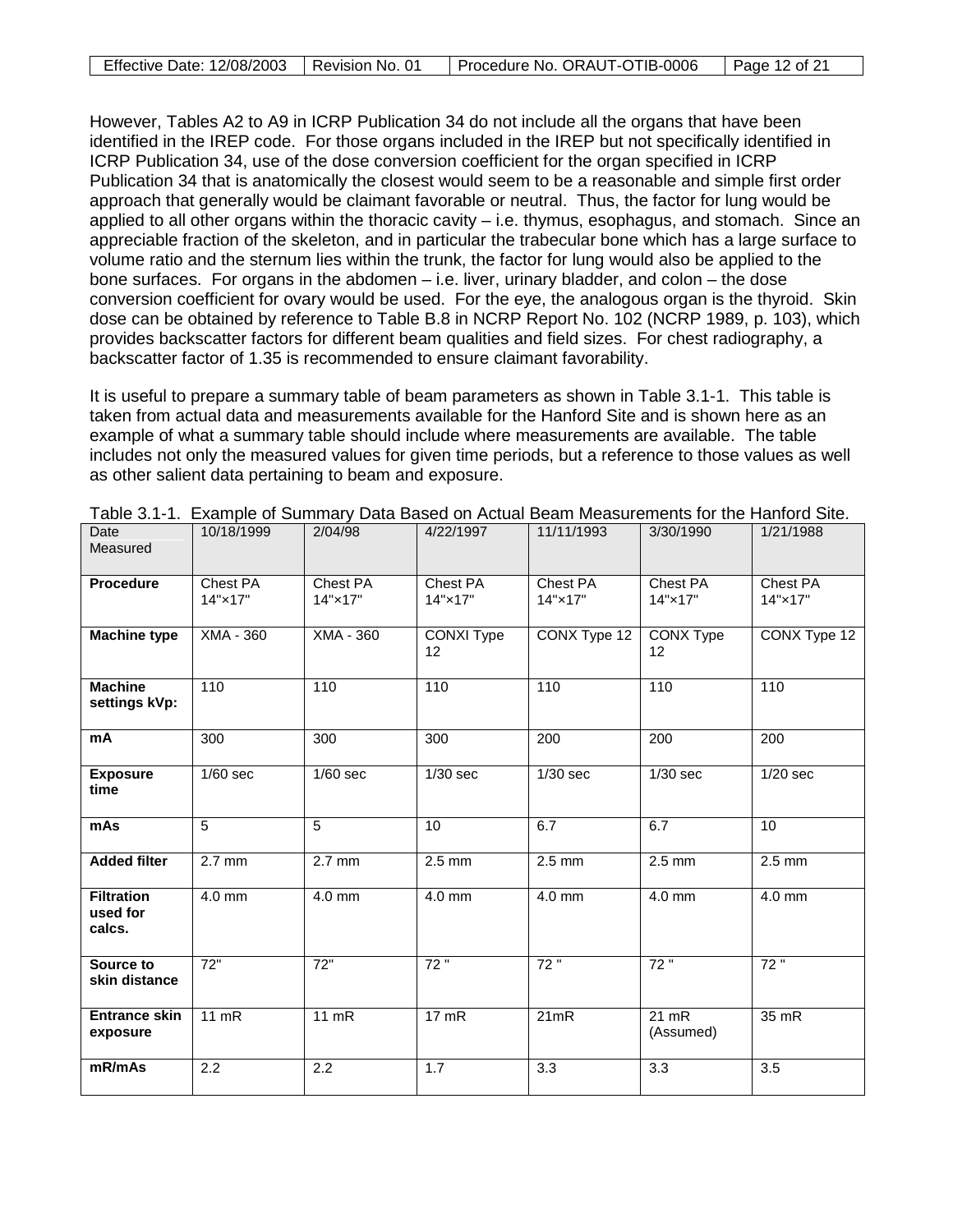| Effective Date: 12/08/2003   Revision No. 01 | Procedure No. ORAUT-OTIB-0006 | Page 12 of 21 |
|----------------------------------------------|-------------------------------|---------------|

However, Tables A2 to A9 in ICRP Publication 34 do not include all the organs that have been identified in the IREP code. For those organs included in the IREP but not specifically identified in ICRP Publication 34, use of the dose conversion coefficient for the organ specified in ICRP Publication 34 that is anatomically the closest would seem to be a reasonable and simple first order approach that generally would be claimant favorable or neutral. Thus, the factor for lung would be applied to all other organs within the thoracic cavity – i.e. thymus, esophagus, and stomach. Since an appreciable fraction of the skeleton, and in particular the trabecular bone which has a large surface to volume ratio and the sternum lies within the trunk, the factor for lung would also be applied to the bone surfaces. For organs in the abdomen – i.e. liver, urinary bladder, and colon – the dose conversion coefficient for ovary would be used. For the eye, the analogous organ is the thyroid. Skin dose can be obtained by reference to Table B.8 in NCRP Report No. 102 (NCRP 1989, p. 103), which provides backscatter factors for different beam qualities and field sizes. For chest radiography, a backscatter factor of 1.35 is recommended to ensure claimant favorability.

It is useful to prepare a summary table of beam parameters as shown in Table 3.1-1. This table is taken from actual data and measurements available for the Hanford Site and is shown here as an example of what a summary table should include where measurements are available. The table includes not only the measured values for given time periods, but a reference to those values as well as other salient data pertaining to beam and exposure.

| Date<br>Measured                        | 10/18/1999          | 2/04/98             | 4/22/1997           | 11/11/1993          | 3/30/1990            | 1/21/1988           |
|-----------------------------------------|---------------------|---------------------|---------------------|---------------------|----------------------|---------------------|
| <b>Procedure</b>                        | Chest PA<br>14"×17" | Chest PA<br>14"×17" | Chest PA<br>14"×17" | Chest PA<br>14"×17" | Chest PA<br>14"×17"  | Chest PA<br>14"×17" |
| <b>Machine type</b>                     | $XMA - 360$         | XMA - 360           | CONXI Type<br>12    | CONX Type 12        | CONX Type<br>12      | CONX Type 12        |
| <b>Machine</b><br>settings kVp:         | 110                 | 110                 | 110                 | 110                 | 110                  | 110                 |
| mA                                      | 300                 | 300                 | 300                 | $\overline{200}$    | $\overline{200}$     | $\overline{200}$    |
| <b>Exposure</b><br>time                 | $1/60$ sec          | $1/60$ sec          | $1/30$ sec          | $1/30$ sec          | $1/30$ sec           | $1/20$ sec          |
| mAs                                     | 5                   | 5                   | 10                  | 6.7                 | 6.7                  | 10                  |
| <b>Added filter</b>                     | $2.7$ mm            | $2.7$ mm            | $2.5$ mm            | $2.5$ mm            | $2.5$ mm             | $2.5$ mm            |
| <b>Filtration</b><br>used for<br>calcs. | $4.0$ mm            | 4.0 mm              | $4.0$ mm            | $4.0$ mm            | $4.0$ mm             | $4.0$ mm            |
| Source to<br>skin distance              | 72"                 | 72"                 | 72"                 | 72"                 | 72"                  | 72"                 |
| <b>Entrance skin</b><br>exposure        | $11$ mR             | $11$ mR             | 17 mR               | 21mR                | $21$ mR<br>(Assumed) | 35 mR               |
| mR/mAs                                  | $\overline{2.2}$    | 2.2                 | 1.7                 | $\overline{3.3}$    | $\overline{3.3}$     | $\overline{3.5}$    |

Table 3.1-1. Example of Summary Data Based on Actual Beam Measurements for the Hanford Site.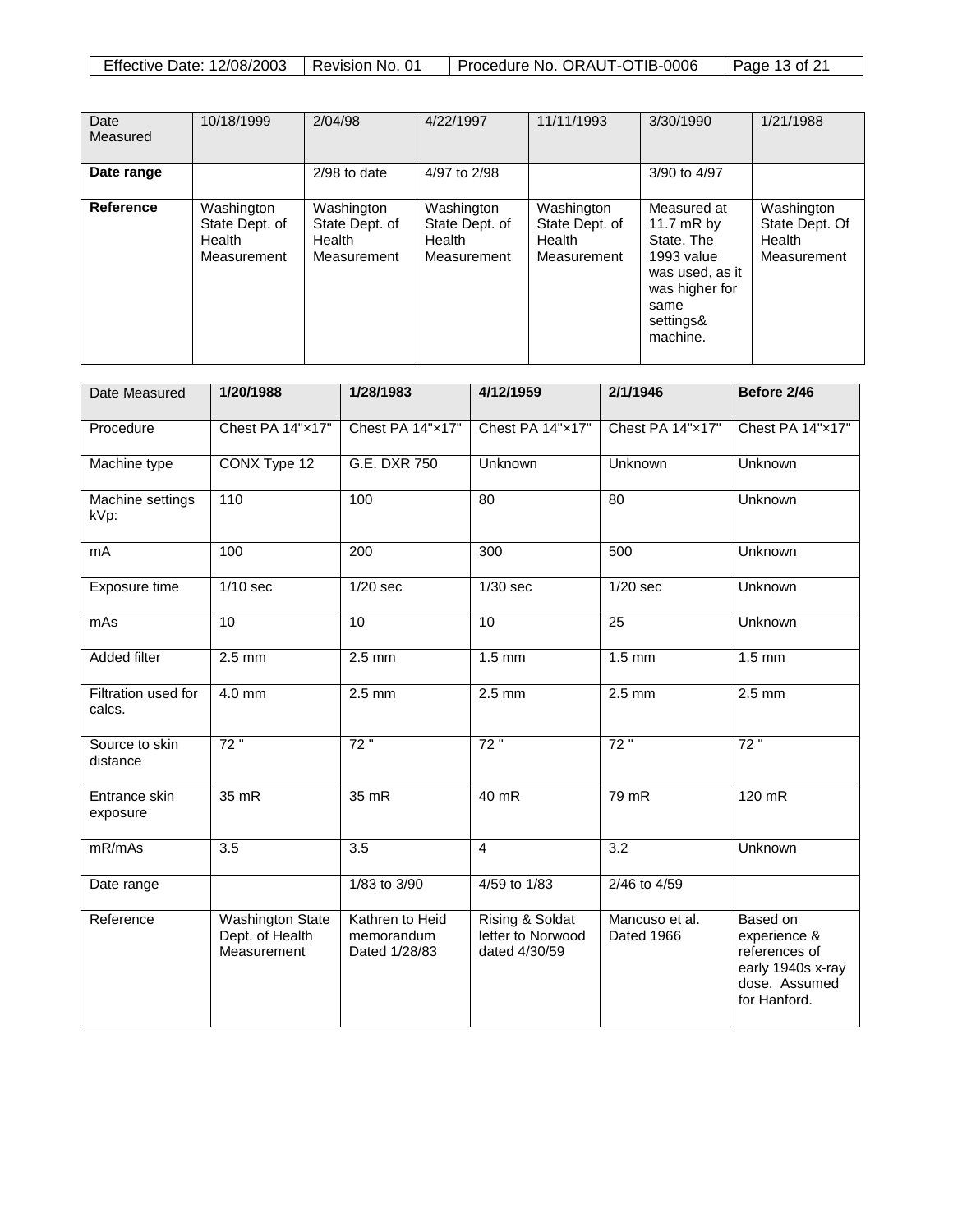| <b>Effective Date: 12/08/2003</b> | Revision No. 01 | Procedure No. ORAUT-OTIB-0006 | Page 13 of 21 |
|-----------------------------------|-----------------|-------------------------------|---------------|

| Date<br>Measured | 10/18/1999                                            | 2/04/98                                               | 4/22/1997                                             | 11/11/1993                                            | 3/30/1990                                                                                                                     | 1/21/1988                                             |
|------------------|-------------------------------------------------------|-------------------------------------------------------|-------------------------------------------------------|-------------------------------------------------------|-------------------------------------------------------------------------------------------------------------------------------|-------------------------------------------------------|
| Date range       |                                                       | $2/98$ to date                                        | 4/97 to 2/98                                          |                                                       | 3/90 to 4/97                                                                                                                  |                                                       |
| <b>Reference</b> | Washington<br>State Dept. of<br>Health<br>Measurement | Washington<br>State Dept. of<br>Health<br>Measurement | Washington<br>State Dept. of<br>Health<br>Measurement | Washington<br>State Dept. of<br>Health<br>Measurement | Measured at<br>11.7 $mR$ by<br>State, The<br>1993 value<br>was used, as it<br>was higher for<br>same<br>settings&<br>machine. | Washington<br>State Dept. Of<br>Health<br>Measurement |

| Date Measured                 | 1/20/1988                                                 | 1/28/1983                                      | 4/12/1959                                             | 2/1/1946                     | Before 2/46                                                                                     |
|-------------------------------|-----------------------------------------------------------|------------------------------------------------|-------------------------------------------------------|------------------------------|-------------------------------------------------------------------------------------------------|
| Procedure                     | Chest PA 14"x17"                                          | Chest PA 14"x17"                               | Chest PA 14"x17"                                      | Chest PA 14"x17"             | Chest PA 14"x17"                                                                                |
| Machine type                  | CONX Type 12                                              | G.E. DXR 750                                   | Unknown                                               | Unknown                      | Unknown                                                                                         |
| Machine settings<br>kVp:      | 110                                                       | 100                                            | $\overline{80}$                                       | $\overline{80}$              | Unknown                                                                                         |
| mA                            | 100                                                       | $\overline{200}$                               | 300                                                   | 500                          | Unknown                                                                                         |
| Exposure time                 | $1/10$ sec                                                | $1/20$ sec                                     | $1/30$ sec                                            | $1/20$ sec                   | Unknown                                                                                         |
| mAs                           | 10                                                        | 10                                             | 10                                                    | 25                           | Unknown                                                                                         |
| <b>Added filter</b>           | $2.5$ mm                                                  | $2.5$ mm                                       | $1.5 \text{ mm}$                                      | $1.5 \text{ mm}$             | $1.5 \text{ mm}$                                                                                |
| Filtration used for<br>calcs. | 4.0 mm                                                    | $2.5$ mm                                       | $2.5$ mm                                              | $2.5$ mm                     | $2.5$ mm                                                                                        |
| Source to skin<br>distance    | 72"                                                       | 72"                                            | 72"                                                   | 72"                          | 72"                                                                                             |
| Entrance skin<br>exposure     | 35 mR                                                     | $35$ mR                                        | $40$ mR                                               | $79$ mR                      | $120$ mR                                                                                        |
| mR/mAs                        | 3.5                                                       | 3.5                                            | $\overline{4}$                                        | $\overline{3.2}$             | Unknown                                                                                         |
| Date range                    |                                                           | 1/83 to 3/90                                   | 4/59 to 1/83                                          | 2/46 to 4/59                 |                                                                                                 |
| Reference                     | <b>Washington State</b><br>Dept. of Health<br>Measurement | Kathren to Heid<br>memorandum<br>Dated 1/28/83 | Rising & Soldat<br>letter to Norwood<br>dated 4/30/59 | Mancuso et al.<br>Dated 1966 | Based on<br>experience &<br>references of<br>early 1940s x-ray<br>dose. Assumed<br>for Hanford. |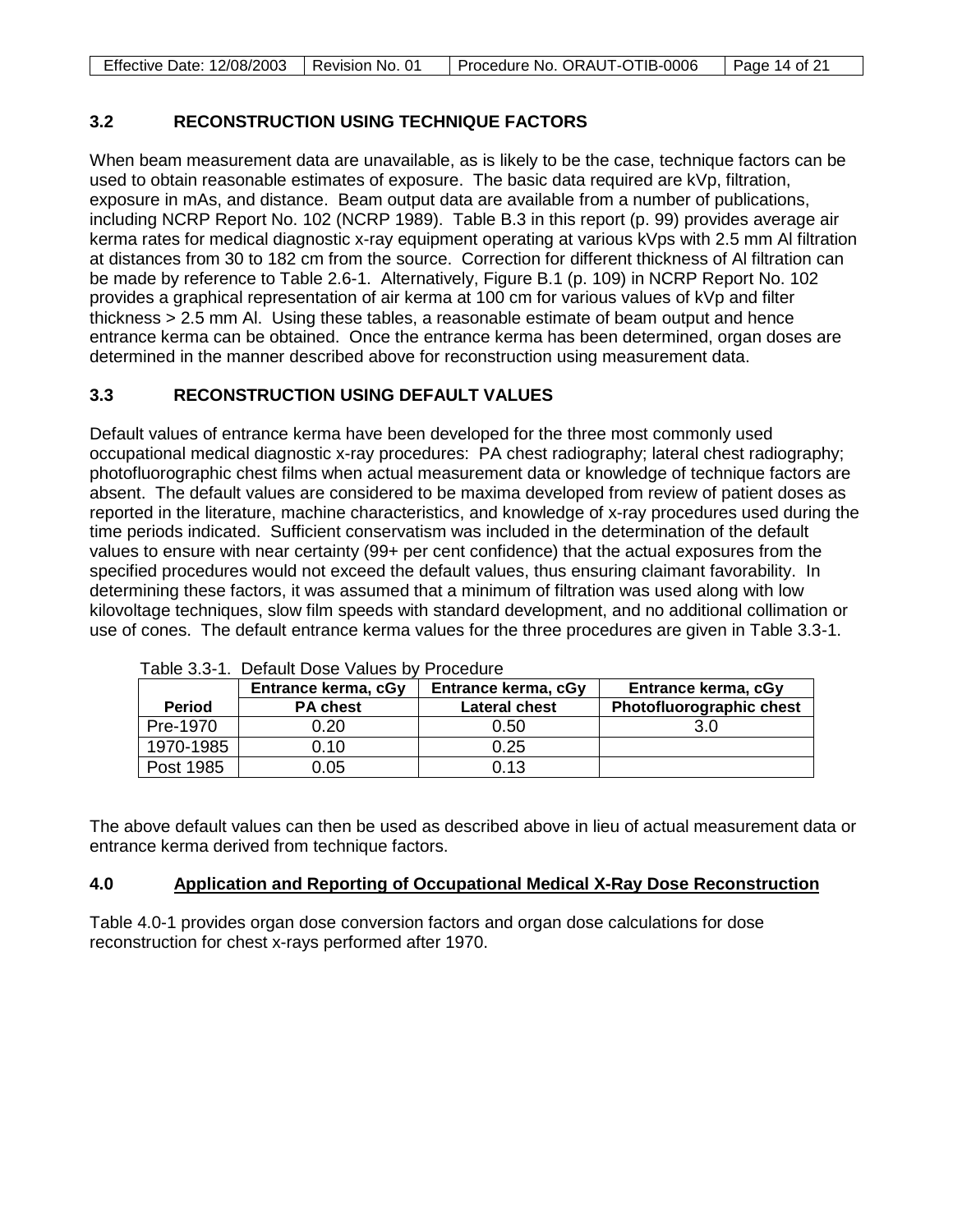| Effective Date: 12/08/2003   Revision No. 01 | Procedure No. ORAUT-OTIB-0006 | Page 14 of 21 |
|----------------------------------------------|-------------------------------|---------------|

## **3.2 RECONSTRUCTION USING TECHNIQUE FACTORS**

When beam measurement data are unavailable, as is likely to be the case, technique factors can be used to obtain reasonable estimates of exposure. The basic data required are kVp, filtration, exposure in mAs, and distance. Beam output data are available from a number of publications, including NCRP Report No. 102 (NCRP 1989). Table B.3 in this report (p. 99) provides average air kerma rates for medical diagnostic x-ray equipment operating at various kVps with 2.5 mm Al filtration at distances from 30 to 182 cm from the source. Correction for different thickness of Al filtration can be made by reference to Table 2.6-1. Alternatively, Figure B.1 (p. 109) in NCRP Report No. 102 provides a graphical representation of air kerma at 100 cm for various values of kVp and filter thickness > 2.5 mm Al. Using these tables, a reasonable estimate of beam output and hence entrance kerma can be obtained. Once the entrance kerma has been determined, organ doses are determined in the manner described above for reconstruction using measurement data.

# **3.3 RECONSTRUCTION USING DEFAULT VALUES**

Default values of entrance kerma have been developed for the three most commonly used occupational medical diagnostic x-ray procedures: PA chest radiography; lateral chest radiography; photofluorographic chest films when actual measurement data or knowledge of technique factors are absent. The default values are considered to be maxima developed from review of patient doses as reported in the literature, machine characteristics, and knowledge of x-ray procedures used during the time periods indicated. Sufficient conservatism was included in the determination of the default values to ensure with near certainty (99+ per cent confidence) that the actual exposures from the specified procedures would not exceed the default values, thus ensuring claimant favorability. In determining these factors, it was assumed that a minimum of filtration was used along with low kilovoltage techniques, slow film speeds with standard development, and no additional collimation or use of cones. The default entrance kerma values for the three procedures are given in Table 3.3-1.

|               | Entrance kerma, cGy | Entrance kerma, cGy  | Entrance kerma, cGy      |
|---------------|---------------------|----------------------|--------------------------|
| <b>Period</b> | <b>PA chest</b>     | <b>Lateral chest</b> | Photofluorographic chest |
| Pre-1970      | 0.20                | 0.50                 | 3.0                      |
| 1970-1985     | 0.10                | 0.25                 |                          |
| Post 1985     | 0.05                | 0.13                 |                          |

Table 3.3-1. Default Dose Values by Procedure

The above default values can then be used as described above in lieu of actual measurement data or entrance kerma derived from technique factors.

#### **4.0 Application and Reporting of Occupational Medical X-Ray Dose Reconstruction**

Table 4.0-1 provides organ dose conversion factors and organ dose calculations for dose reconstruction for chest x-rays performed after 1970.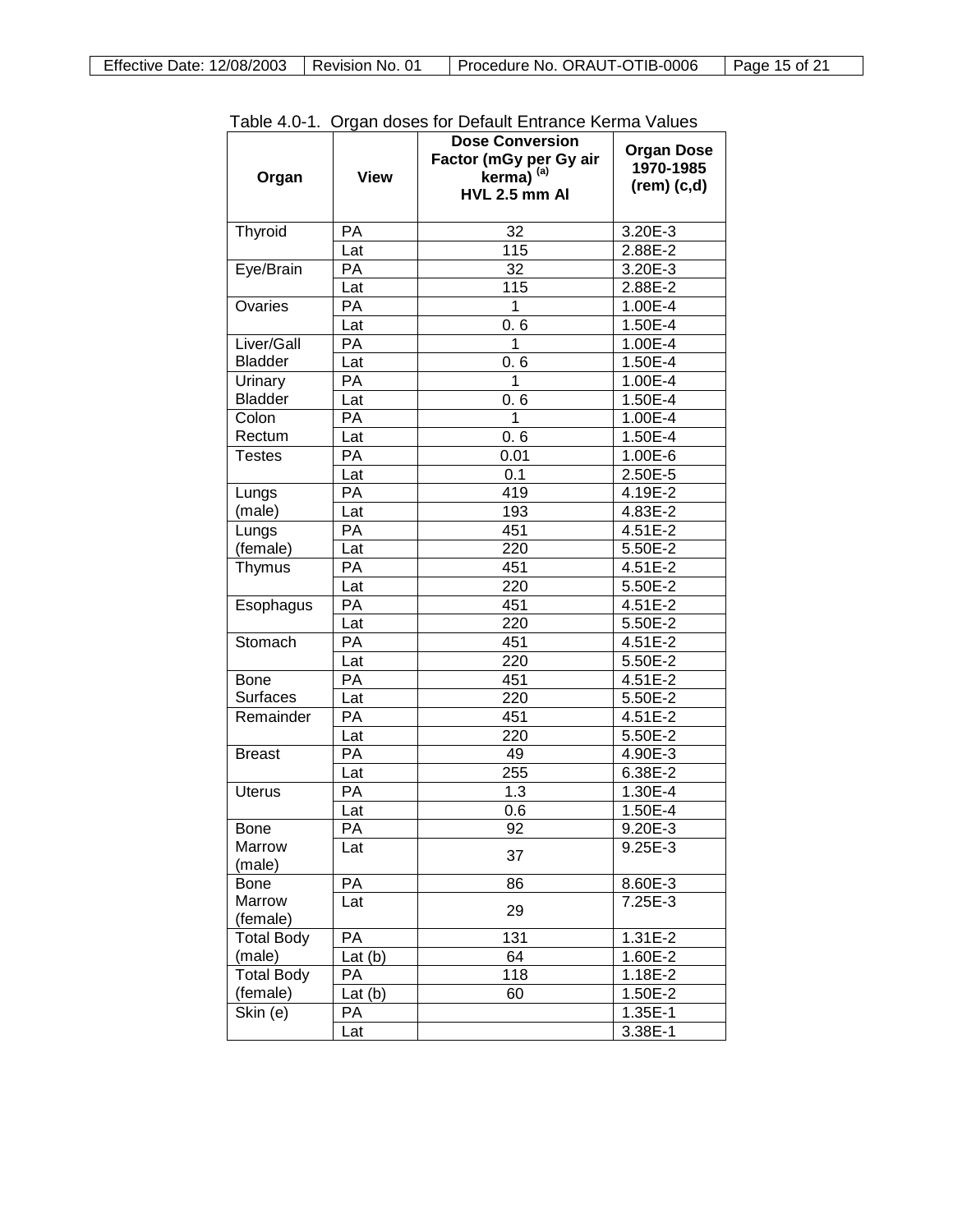|                   |             | rable 4.0-1. Organ doses for Delault Entrance Renna Values<br><b>Dose Conversion</b> | <b>Organ Dose</b>  |
|-------------------|-------------|--------------------------------------------------------------------------------------|--------------------|
|                   |             | Factor (mGy per Gy air                                                               | 1970-1985          |
| Organ             | <b>View</b> | kerma) <sup>(a)</sup><br>HVL 2.5 mm Al                                               | $(rem)$ $(c,d)$    |
|                   |             |                                                                                      |                    |
| Thyroid           | PA          | 32                                                                                   | 3.20E-3            |
|                   | Lat         | 115                                                                                  | 2.88E-2            |
| Eye/Brain         | РA          | 32                                                                                   | 3.20E-3            |
|                   | Lat         | 115                                                                                  | 2.88E-2            |
| Ovaries           | РA          | 1                                                                                    | 1.00E-4            |
|                   | Lat         | 0.6                                                                                  | 1.50E-4            |
| Liver/Gall        | РA          | 1                                                                                    | 1.00E-4            |
| <b>Bladder</b>    | Lat         | 0.6                                                                                  | 1.50E-4            |
| Urinary           | РA          | 1                                                                                    | 1.00E-4            |
| <b>Bladder</b>    | Lat         | 0.6                                                                                  | 1.50E-4            |
| Colon             | РA          | 1                                                                                    | 1.00E-4            |
| Rectum            | Lat         | 0.6                                                                                  | 1.50E-4            |
| Testes            | РA          | 0.01                                                                                 | 1.00E-6            |
|                   | Lat         | 0.1                                                                                  | 2.50E-5            |
| Lungs             | РA          | 419                                                                                  | 4.19E-2            |
| (male)            | Lat         | 193                                                                                  | 4.83E-2            |
| Lungs             | РA          | 451                                                                                  | 4.51E-2            |
| (female)          | Lat         | 220                                                                                  | 5.50E-2            |
| Thymus            | РA          | 451                                                                                  | 4.51E-2            |
|                   | Lat         | 220                                                                                  | 5.50E-2            |
| Esophagus         | РA          | 451                                                                                  | 4.51E-2            |
|                   | Lat         | 220                                                                                  | 5.50E-2            |
| Stomach           | РA          | 451                                                                                  | 4.51E-2            |
|                   | Lat         | 220                                                                                  | 5.50E-2            |
| <b>Bone</b>       | РA          | 451                                                                                  | 4.51E-2            |
| <b>Surfaces</b>   | Lat         | 220                                                                                  | 5.50E-2            |
| Remainder         | РA          | 451                                                                                  | 4.51E-2            |
|                   |             | 220                                                                                  | 5.50E-2            |
| <b>Breast</b>     | Lat<br>РA   | 49                                                                                   |                    |
|                   |             | 255                                                                                  | 4.90E-3<br>6.38E-2 |
| <b>Uterus</b>     | Lat         |                                                                                      |                    |
|                   | PA          | 1.3                                                                                  | 1.30E-4            |
|                   | Lat         | 0.6                                                                                  | 1.50E-4            |
| Bone              | PA          | 92                                                                                   | $9.20E - 3$        |
| Marrow<br>(male)  | Lat         | 37                                                                                   | 9.25E-3            |
| Bone              | PA          | 86                                                                                   | 8.60E-3            |
| Marrow            | Lat         |                                                                                      | 7.25E-3            |
| (female)          |             | 29                                                                                   |                    |
| Total Body        | PA          | 131                                                                                  | 1.31E-2            |
| (male)            | Lat $(b)$   | 64                                                                                   | 1.60E-2            |
| <b>Total Body</b> | РA          | 118                                                                                  | 1.18E-2            |
| (female)          | Lat $(b)$   | 60                                                                                   | 1.50E-2            |
| Skin (e)          | PA          |                                                                                      | 1.35E-1            |
|                   | Lat         |                                                                                      | 3.38E-1            |

Table 4.0-1. Organ doses for Default Entrance Kerma Values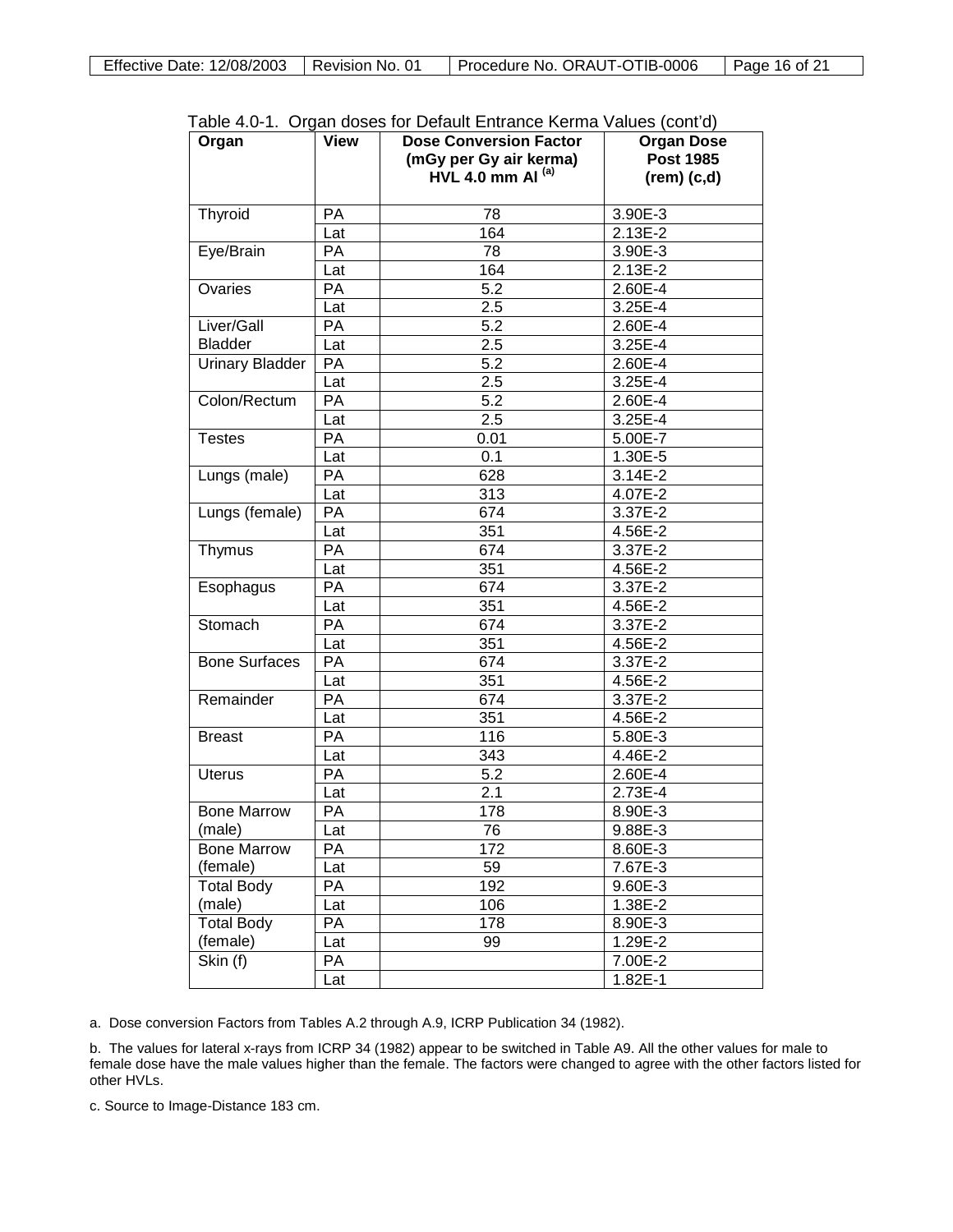| Organ                          | View      | able 4.0 T. Organ doses for Delaght Limiance Kenna values (control<br><b>Dose Conversion Factor</b> | <b>Organ Dose</b> |
|--------------------------------|-----------|-----------------------------------------------------------------------------------------------------|-------------------|
|                                |           | (mGy per Gy air kerma)                                                                              | <b>Post 1985</b>  |
|                                |           | <b>HVL 4.0 mm AI<sup>(a)</sup></b>                                                                  | $(rem)$ $(c,d)$   |
| Thyroid                        | <b>PA</b> | 78                                                                                                  | 3.90E-3           |
|                                | Lat       | 164                                                                                                 | $2.13E-2$         |
| Eye/Brain                      | PA        | 78                                                                                                  | 3.90E-3           |
|                                | Lat       | 164                                                                                                 | 2.13E-2           |
| Ovaries                        | PA        | 5.2                                                                                                 | 2.60E-4           |
|                                | Lat       | $\overline{2.5}$                                                                                    | 3.25E-4           |
| Liver/Gall                     | <b>PA</b> | 5.2                                                                                                 | 2.60E-4           |
| <b>Bladder</b>                 | Lat       | $\overline{2.5}$                                                                                    | 3.25E-4           |
| <b>Urinary Bladder</b>         | PA        | 5.2                                                                                                 | 2.60E-4           |
|                                | Lat       | $\overline{2.5}$                                                                                    | 3.25E-4           |
| Colon/Rectum                   | PA        | 5.2                                                                                                 | 2.60E-4           |
|                                | Lat       | 2.5                                                                                                 | 3.25E-4           |
| <b>Testes</b>                  | PA        | 0.01                                                                                                | 5.00E-7           |
|                                | Lat       | 0.1                                                                                                 | 1.30E-5           |
| Lungs (male)                   | PA        | 628                                                                                                 | 3.14E-2           |
|                                | Lat       | 313                                                                                                 | 4.07E-2           |
| Lungs (female)                 | PA        | 674                                                                                                 | 3.37E-2           |
|                                | Lat       | 351                                                                                                 | 4.56E-2           |
| Thymus                         | PA        | 674                                                                                                 | 3.37E-2           |
|                                | Lat       | 351                                                                                                 | 4.56E-2           |
| Esophagus                      | PA        | 674                                                                                                 | 3.37E-2           |
|                                | Lat       | 351                                                                                                 | 4.56E-2           |
| Stomach                        | PA        | 674                                                                                                 | 3.37E-2           |
|                                | Lat       | 351                                                                                                 | 4.56E-2           |
| <b>Bone Surfaces</b>           | PA        | 674                                                                                                 | 3.37E-2           |
|                                | Lat       | 351                                                                                                 | 4.56E-2           |
| Remainder                      | PA        | 674                                                                                                 | 3.37E-2           |
|                                | Lat       | 351                                                                                                 | 4.56E-2           |
| <b>Breast</b>                  | PA        | $\overline{116}$                                                                                    | 5.80E-3           |
|                                | Lat       | 343                                                                                                 | 4.46E-2           |
| <b>Uterus</b>                  | PA        | 5.2                                                                                                 | 2.60E-4           |
|                                | Lat       | 2.1                                                                                                 | 2.73E-4           |
| <b>Bone Marrow</b>             | PA        | 178                                                                                                 | 8.90E-3           |
| (male)                         |           | 76                                                                                                  | 9.88E-3           |
|                                | Lat<br>PA | 172                                                                                                 |                   |
| <b>Bone Marrow</b><br>(female) |           | 59                                                                                                  | 8.60E-3           |
|                                | Lat       |                                                                                                     | 7.67E-3           |
| <b>Total Body</b>              | PA        | 192                                                                                                 | 9.60E-3           |
| (male)                         | Lat       | 106                                                                                                 | 1.38E-2           |
| Total Body                     | PA        | 178                                                                                                 | 8.90E-3           |
| (female)                       | Lat       | 99                                                                                                  | 1.29E-2           |
| Skin (f)                       | PA        |                                                                                                     | 7.00E-2           |
|                                | Lat       |                                                                                                     | $1.82E-1$         |

Table 4.0-1. Organ doses for Default Entrance Kerma Values (cont'd)

a. Dose conversion Factors from Tables A.2 through A.9, ICRP Publication 34 (1982).

b. The values for lateral x-rays from ICRP 34 (1982) appear to be switched in Table A9. All the other values for male to female dose have the male values higher than the female. The factors were changed to agree with the other factors listed for other HVLs.

c. Source to Image-Distance 183 cm.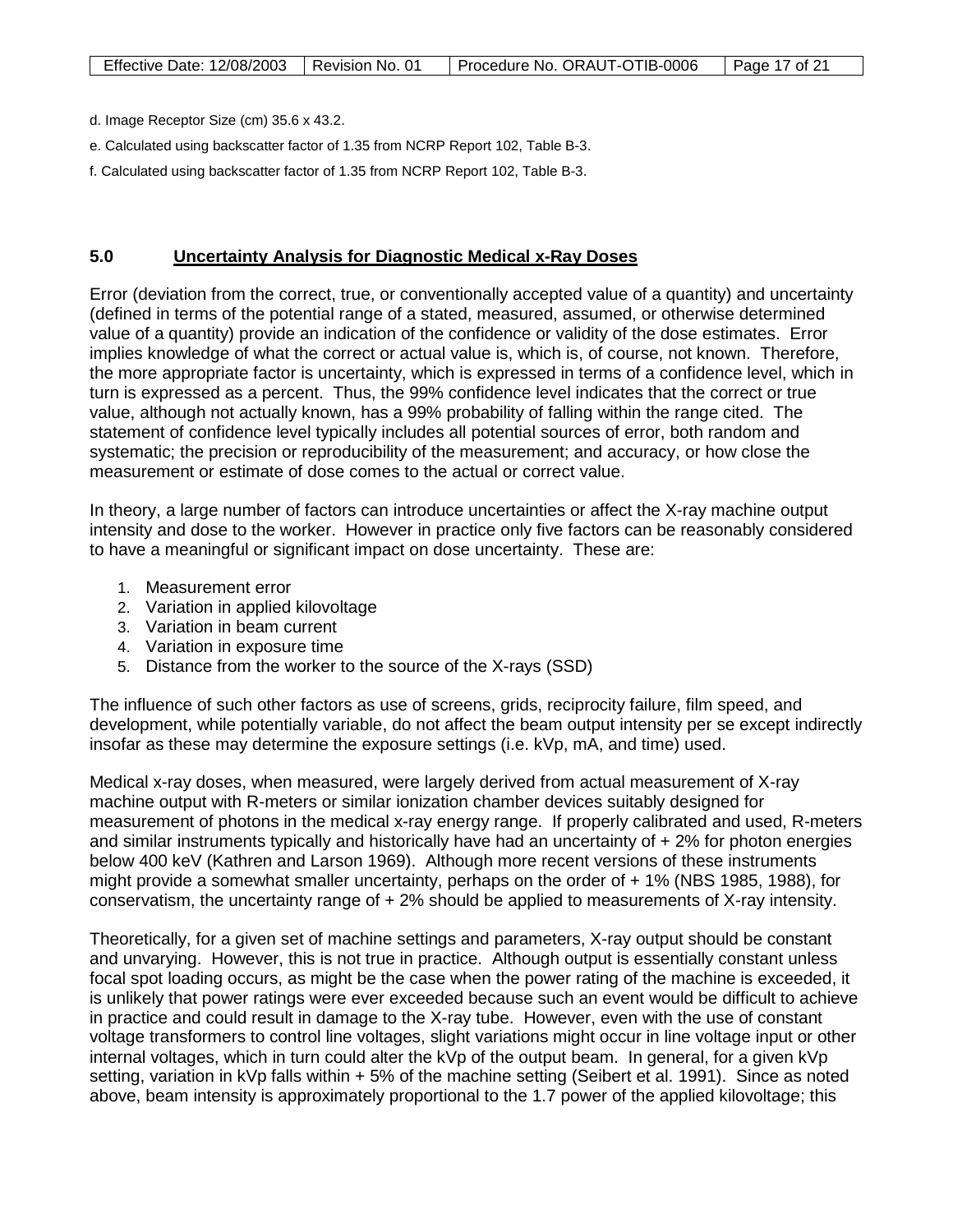d. Image Receptor Size (cm) 35.6 x 43.2.

- e. Calculated using backscatter factor of 1.35 from NCRP Report 102, Table B-3.
- f. Calculated using backscatter factor of 1.35 from NCRP Report 102, Table B-3.

### **5.0 Uncertainty Analysis for Diagnostic Medical x-Ray Doses**

Error (deviation from the correct, true, or conventionally accepted value of a quantity) and uncertainty (defined in terms of the potential range of a stated, measured, assumed, or otherwise determined value of a quantity) provide an indication of the confidence or validity of the dose estimates. Error implies knowledge of what the correct or actual value is, which is, of course, not known. Therefore, the more appropriate factor is uncertainty, which is expressed in terms of a confidence level, which in turn is expressed as a percent. Thus, the 99% confidence level indicates that the correct or true value, although not actually known, has a 99% probability of falling within the range cited. The statement of confidence level typically includes all potential sources of error, both random and systematic; the precision or reproducibility of the measurement; and accuracy, or how close the measurement or estimate of dose comes to the actual or correct value.

In theory, a large number of factors can introduce uncertainties or affect the X-ray machine output intensity and dose to the worker. However in practice only five factors can be reasonably considered to have a meaningful or significant impact on dose uncertainty. These are:

- 1. Measurement error
- 2. Variation in applied kilovoltage
- 3. Variation in beam current
- 4. Variation in exposure time
- 5. Distance from the worker to the source of the X-rays (SSD)

The influence of such other factors as use of screens, grids, reciprocity failure, film speed, and development, while potentially variable, do not affect the beam output intensity per se except indirectly insofar as these may determine the exposure settings (i.e. kVp, mA, and time) used.

Medical x-ray doses, when measured, were largely derived from actual measurement of X-ray machine output with R-meters or similar ionization chamber devices suitably designed for measurement of photons in the medical x-ray energy range. If properly calibrated and used, R-meters and similar instruments typically and historically have had an uncertainty of + 2% for photon energies below 400 keV (Kathren and Larson 1969). Although more recent versions of these instruments might provide a somewhat smaller uncertainty, perhaps on the order of + 1% (NBS 1985, 1988), for conservatism, the uncertainty range of + 2% should be applied to measurements of X-ray intensity.

Theoretically, for a given set of machine settings and parameters, X-ray output should be constant and unvarying. However, this is not true in practice. Although output is essentially constant unless focal spot loading occurs, as might be the case when the power rating of the machine is exceeded, it is unlikely that power ratings were ever exceeded because such an event would be difficult to achieve in practice and could result in damage to the X-ray tube. However, even with the use of constant voltage transformers to control line voltages, slight variations might occur in line voltage input or other internal voltages, which in turn could alter the kVp of the output beam. In general, for a given kVp setting, variation in kVp falls within + 5% of the machine setting (Seibert et al. 1991). Since as noted above, beam intensity is approximately proportional to the 1.7 power of the applied kilovoltage; this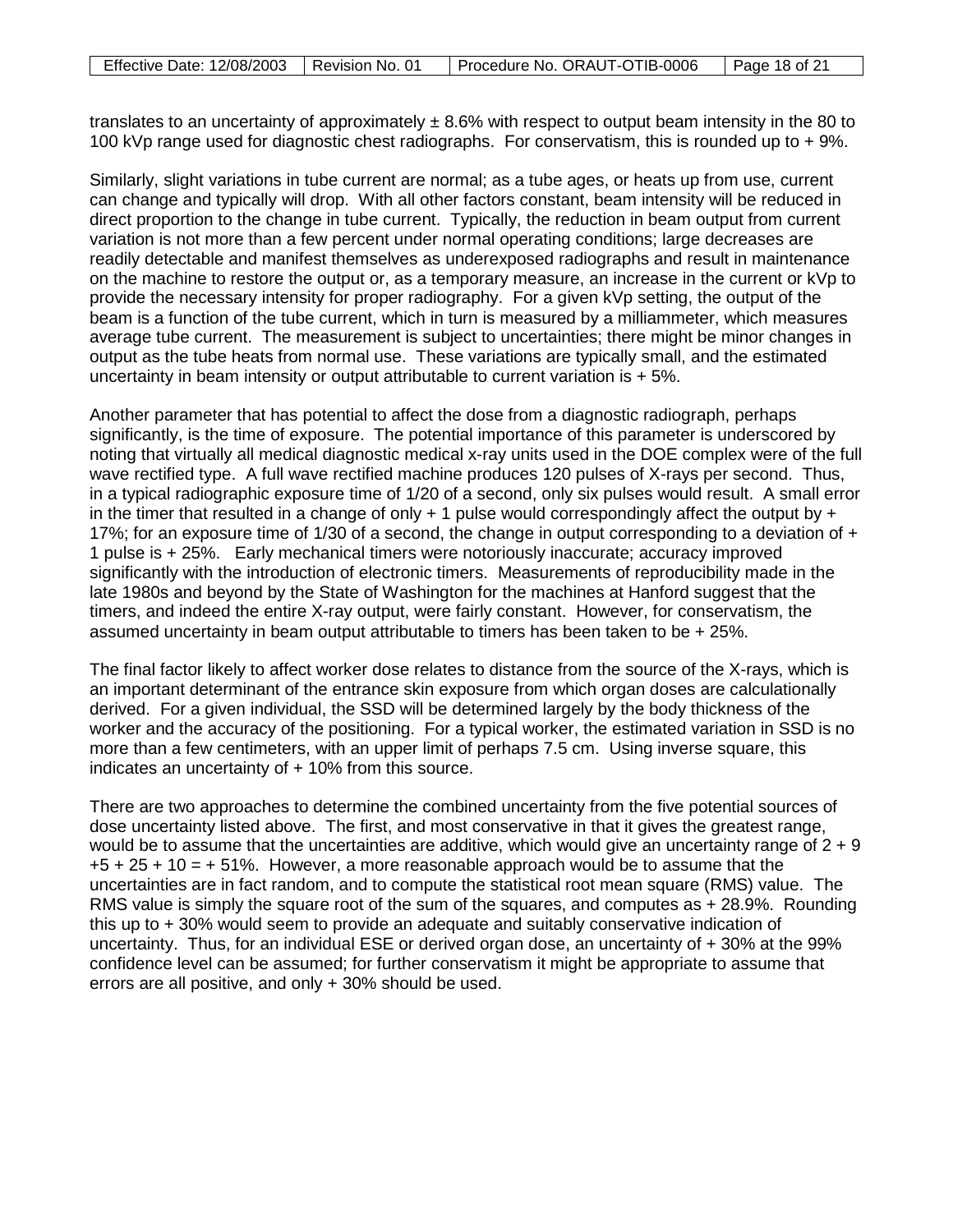| Effective Date: 12/08/2003   Revision No. 01 | Procedure No. ORAUT-OTIB-0006 | $\sqrt{21}$ Page 18 of 21 |
|----------------------------------------------|-------------------------------|---------------------------|

translates to an uncertainty of approximately  $\pm$  8.6% with respect to output beam intensity in the 80 to 100 kVp range used for diagnostic chest radiographs. For conservatism, this is rounded up to + 9%.

Similarly, slight variations in tube current are normal; as a tube ages, or heats up from use, current can change and typically will drop. With all other factors constant, beam intensity will be reduced in direct proportion to the change in tube current. Typically, the reduction in beam output from current variation is not more than a few percent under normal operating conditions; large decreases are readily detectable and manifest themselves as underexposed radiographs and result in maintenance on the machine to restore the output or, as a temporary measure, an increase in the current or kVp to provide the necessary intensity for proper radiography. For a given kVp setting, the output of the beam is a function of the tube current, which in turn is measured by a milliammeter, which measures average tube current. The measurement is subject to uncertainties; there might be minor changes in output as the tube heats from normal use. These variations are typically small, and the estimated uncertainty in beam intensity or output attributable to current variation is  $+5\%$ .

Another parameter that has potential to affect the dose from a diagnostic radiograph, perhaps significantly, is the time of exposure. The potential importance of this parameter is underscored by noting that virtually all medical diagnostic medical x-ray units used in the DOE complex were of the full wave rectified type. A full wave rectified machine produces 120 pulses of X-rays per second. Thus, in a typical radiographic exposure time of 1/20 of a second, only six pulses would result. A small error in the timer that resulted in a change of only  $+1$  pulse would correspondingly affect the output by  $+$ 17%; for an exposure time of 1/30 of a second, the change in output corresponding to a deviation of + 1 pulse is + 25%. Early mechanical timers were notoriously inaccurate; accuracy improved significantly with the introduction of electronic timers. Measurements of reproducibility made in the late 1980s and beyond by the State of Washington for the machines at Hanford suggest that the timers, and indeed the entire X-ray output, were fairly constant. However, for conservatism, the assumed uncertainty in beam output attributable to timers has been taken to be + 25%.

The final factor likely to affect worker dose relates to distance from the source of the X-rays, which is an important determinant of the entrance skin exposure from which organ doses are calculationally derived. For a given individual, the SSD will be determined largely by the body thickness of the worker and the accuracy of the positioning. For a typical worker, the estimated variation in SSD is no more than a few centimeters, with an upper limit of perhaps 7.5 cm. Using inverse square, this indicates an uncertainty of  $+10\%$  from this source.

There are two approaches to determine the combined uncertainty from the five potential sources of dose uncertainty listed above. The first, and most conservative in that it gives the greatest range, would be to assume that the uncertainties are additive, which would give an uncertainty range of  $2 + 9$  $+5 + 25 + 10 = +51\%$ . However, a more reasonable approach would be to assume that the uncertainties are in fact random, and to compute the statistical root mean square (RMS) value. The RMS value is simply the square root of the sum of the squares, and computes as + 28.9%. Rounding this up to + 30% would seem to provide an adequate and suitably conservative indication of uncertainty. Thus, for an individual ESE or derived organ dose, an uncertainty of + 30% at the 99% confidence level can be assumed; for further conservatism it might be appropriate to assume that errors are all positive, and only + 30% should be used.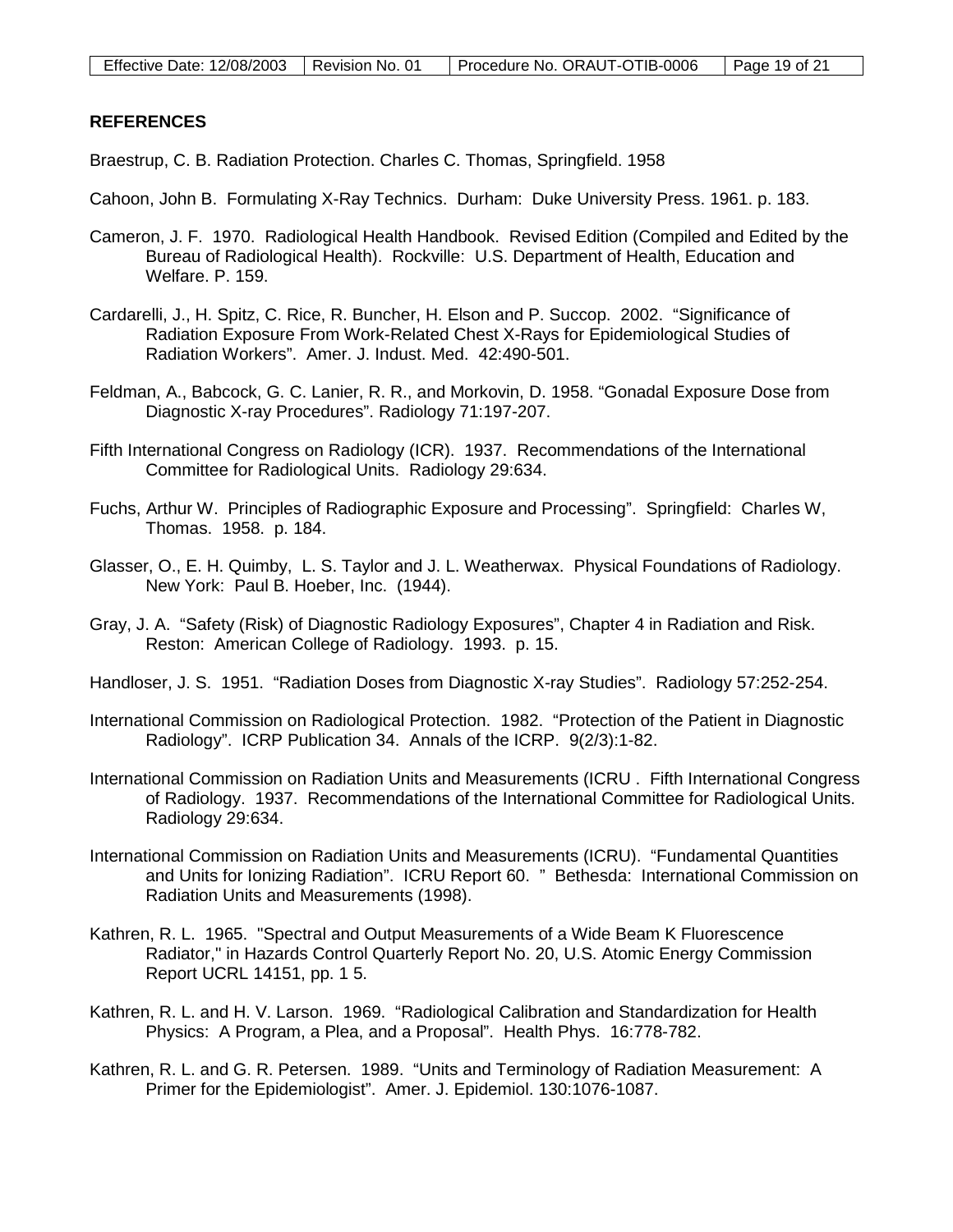# **REFERENCES**

Braestrup, C. B. Radiation Protection. Charles C. Thomas, Springfield. 1958

- Cahoon, John B. Formulating X-Ray Technics. Durham: Duke University Press. 1961. p. 183.
- Cameron, J. F. 1970. Radiological Health Handbook. Revised Edition (Compiled and Edited by the Bureau of Radiological Health). Rockville: U.S. Department of Health, Education and Welfare. P. 159.
- Cardarelli, J., H. Spitz, C. Rice, R. Buncher, H. Elson and P. Succop. 2002. "Significance of Radiation Exposure From Work-Related Chest X-Rays for Epidemiological Studies of Radiation Workers". Amer. J. Indust. Med. 42:490-501.
- Feldman, A., Babcock, G. C. Lanier, R. R., and Morkovin, D. 1958. "Gonadal Exposure Dose from Diagnostic X-ray Procedures". Radiology 71:197-207.
- Fifth International Congress on Radiology (ICR). 1937. Recommendations of the International Committee for Radiological Units. Radiology 29:634.
- Fuchs, Arthur W. Principles of Radiographic Exposure and Processing". Springfield: Charles W, Thomas. 1958. p. 184.
- Glasser, O., E. H. Quimby, L. S. Taylor and J. L. Weatherwax. Physical Foundations of Radiology. New York: Paul B. Hoeber, Inc. (1944).
- Gray, J. A. "Safety (Risk) of Diagnostic Radiology Exposures", Chapter 4 in Radiation and Risk. Reston: American College of Radiology. 1993. p. 15.
- Handloser, J. S. 1951. "Radiation Doses from Diagnostic X-ray Studies". Radiology 57:252-254.
- International Commission on Radiological Protection. 1982. "Protection of the Patient in Diagnostic Radiology". ICRP Publication 34. Annals of the ICRP. 9(2/3):1-82.
- International Commission on Radiation Units and Measurements (ICRU . Fifth International Congress of Radiology. 1937. Recommendations of the International Committee for Radiological Units. Radiology 29:634.
- International Commission on Radiation Units and Measurements (ICRU). "Fundamental Quantities and Units for Ionizing Radiation". ICRU Report 60. " Bethesda: International Commission on Radiation Units and Measurements (1998).
- Kathren, R. L. 1965. "Spectral and Output Measurements of a Wide Beam K Fluorescence Radiator," in Hazards Control Quarterly Report No. 20, U.S. Atomic Energy Commission Report UCRL 14151, pp. 1 5.
- Kathren, R. L. and H. V. Larson. 1969. "Radiological Calibration and Standardization for Health Physics: A Program, a Plea, and a Proposal". Health Phys. 16:778-782.
- Kathren, R. L. and G. R. Petersen. 1989. "Units and Terminology of Radiation Measurement: A Primer for the Epidemiologist". Amer. J. Epidemiol. 130:1076-1087.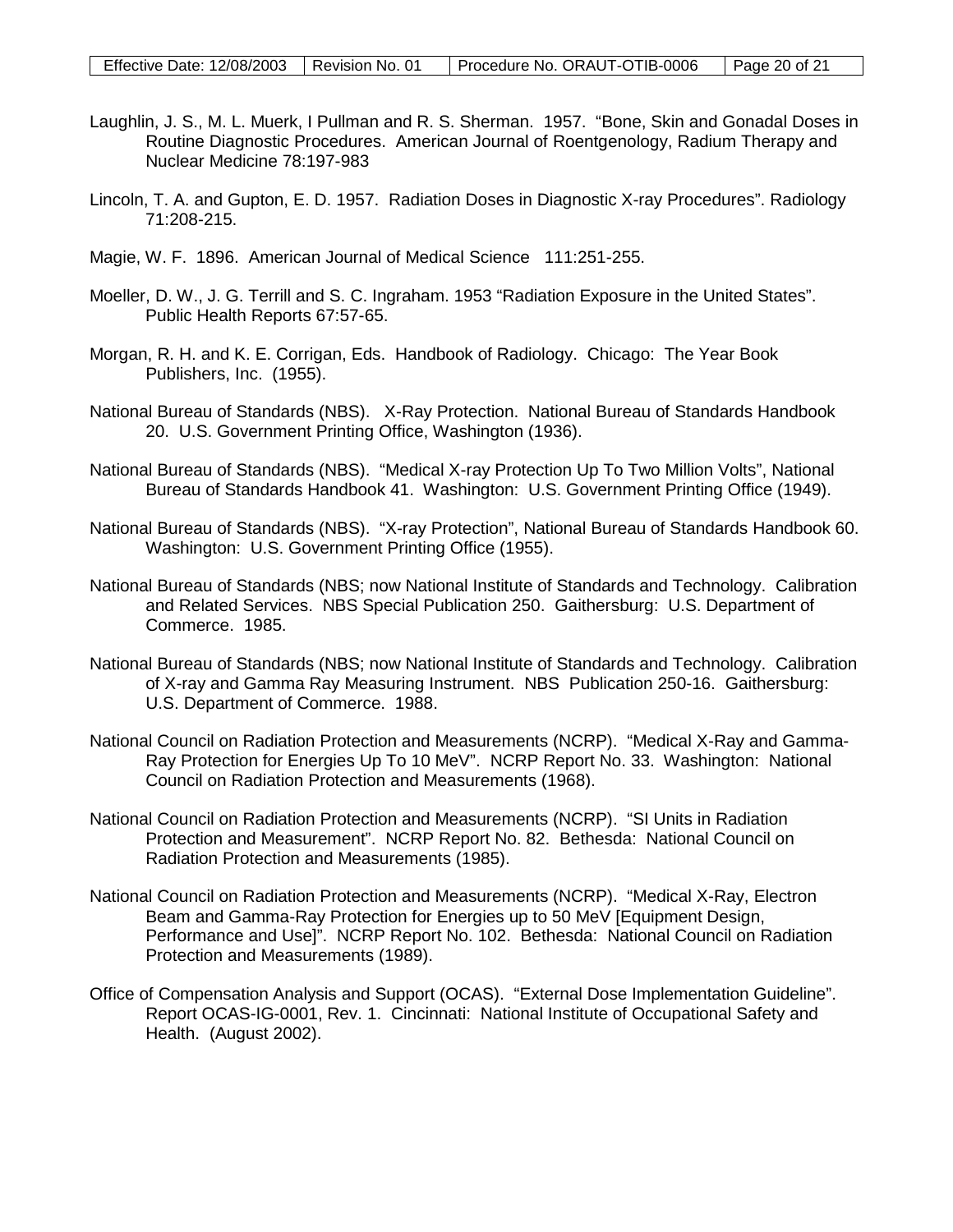- Laughlin, J. S., M. L. Muerk, I Pullman and R. S. Sherman. 1957. "Bone, Skin and Gonadal Doses in Routine Diagnostic Procedures. American Journal of Roentgenology, Radium Therapy and Nuclear Medicine 78:197-983
- Lincoln, T. A. and Gupton, E. D. 1957. Radiation Doses in Diagnostic X-ray Procedures". Radiology 71:208-215.
- Magie, W. F. 1896. American Journal of Medical Science 111:251-255.
- Moeller, D. W., J. G. Terrill and S. C. Ingraham. 1953 "Radiation Exposure in the United States". Public Health Reports 67:57-65.
- Morgan, R. H. and K. E. Corrigan, Eds. Handbook of Radiology. Chicago: The Year Book Publishers, Inc. (1955).
- National Bureau of Standards (NBS). X-Ray Protection. National Bureau of Standards Handbook 20. U.S. Government Printing Office, Washington (1936).
- National Bureau of Standards (NBS). "Medical X-ray Protection Up To Two Million Volts", National Bureau of Standards Handbook 41. Washington: U.S. Government Printing Office (1949).
- National Bureau of Standards (NBS). "X-ray Protection", National Bureau of Standards Handbook 60. Washington: U.S. Government Printing Office (1955).
- National Bureau of Standards (NBS; now National Institute of Standards and Technology. Calibration and Related Services. NBS Special Publication 250. Gaithersburg: U.S. Department of Commerce. 1985.
- National Bureau of Standards (NBS; now National Institute of Standards and Technology. Calibration of X-ray and Gamma Ray Measuring Instrument. NBS Publication 250-16. Gaithersburg: U.S. Department of Commerce. 1988.
- National Council on Radiation Protection and Measurements (NCRP). "Medical X-Ray and Gamma-Ray Protection for Energies Up To 10 MeV". NCRP Report No. 33. Washington: National Council on Radiation Protection and Measurements (1968).
- National Council on Radiation Protection and Measurements (NCRP). "SI Units in Radiation Protection and Measurement". NCRP Report No. 82. Bethesda: National Council on Radiation Protection and Measurements (1985).
- National Council on Radiation Protection and Measurements (NCRP). "Medical X-Ray, Electron Beam and Gamma-Ray Protection for Energies up to 50 MeV [Equipment Design, Performance and Use]". NCRP Report No. 102. Bethesda: National Council on Radiation Protection and Measurements (1989).
- Office of Compensation Analysis and Support (OCAS). "External Dose Implementation Guideline". Report OCAS-IG-0001, Rev. 1. Cincinnati: National Institute of Occupational Safety and Health. (August 2002).